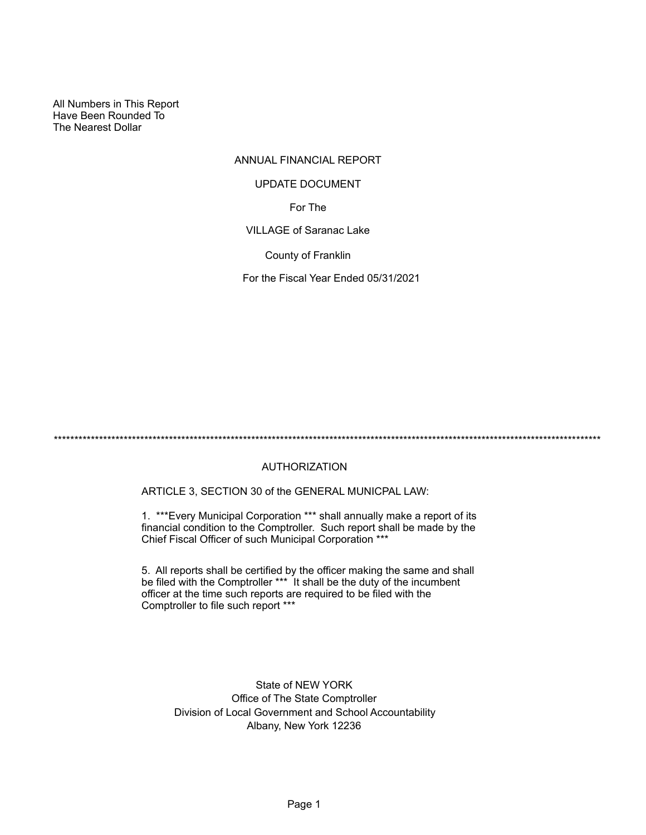All Numbers in This Report Have Been Rounded To The Nearest Dollar

# ANNUAL FINANCIAL REPORT

#### UPDATE DOCUMENT

For The

VILLAGE of Saranac Lake

County of Franklin

For the Fiscal Year Ended 05/31/2021

\*\*\*\*\*\*\*\*\*\*\*\*\*\*\*\*\*\*\*\*\*\*\*\*\*\*\*\*\*\*\*\*\*\*\*\*\*\*\*\*\*\*\*\*\*\*\*\*\*\*\*\*\*\*\*\*\*\*\*\*\*\*\*\*\*\*\*\*\*\*\*\*\*\*\*\*\*\*\*\*\*\*\*\*\*\*\*\*\*\*\*\*\*\*\*\*\*\*\*\*\*\*\*\*\*\*\*\*\*\*\*\*\*\*\*\*\*\*\*\*\*\*\*\*\*\*\*\*\*\*\*\*\*

# AUTHORIZATION

ARTICLE 3, SECTION 30 of the GENERAL MUNICPAL LAW:

1. \*\*\*Every Municipal Corporation \*\*\* shall annually make a report of its financial condition to the Comptroller. Such report shall be made by the Chief Fiscal Officer of such Municipal Corporation \*\*\*

5. All reports shall be certified by the officer making the same and shall be filed with the Comptroller \*\*\* It shall be the duty of the incumbent officer at the time such reports are required to be filed with the Comptroller to file such report \*\*\*

State of NEW YORK Office of The State Comptroller Division of Local Government and School Accountability Albany, New York 12236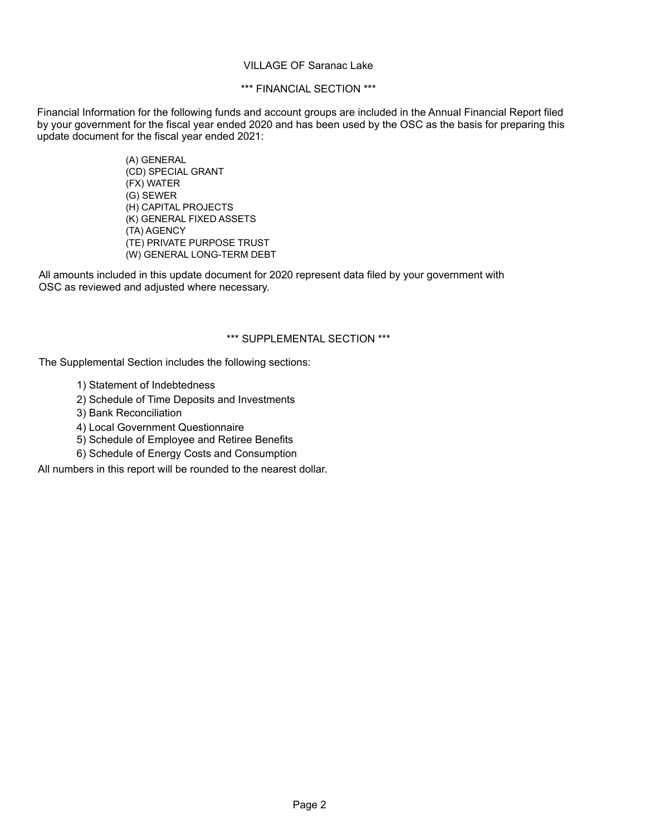#### VILLAGE OF Saranac Lake

#### \*\*\* FINANCIAL SECTION \*\*\*

Financial Information for the following funds and account groups are included in the Annual Financial Report filed by your government for the fiscal year ended 2020 and has been used by the OSC as the basis for preparing this update document for the fiscal year ended 2021:

> (A) GENERAL (CD) SPECIAL GRANT (FX) WATER (G) SEWER (H) CAPITAL PROJECTS (K) GENERAL FIXED ASSETS (TA) AGENCY (TE) PRIVATE PURPOSE TRUST (W) GENERAL LONG-TERM DEBT

All amounts included in this update document for 2020 represent data filed by your government with OSC as reviewed and adjusted where necessary.

#### \*\*\* SUPPLEMENTAL SECTION \*\*\*

The Supplemental Section includes the following sections:

- 1) Statement of Indebtedness
- 2) Schedule of Time Deposits and Investments
- 3) Bank Reconciliation
- 4) Local Government Questionnaire
- 5) Schedule of Employee and Retiree Benefits
- 6) Schedule of Energy Costs and Consumption

All numbers in this report will be rounded to the nearest dollar.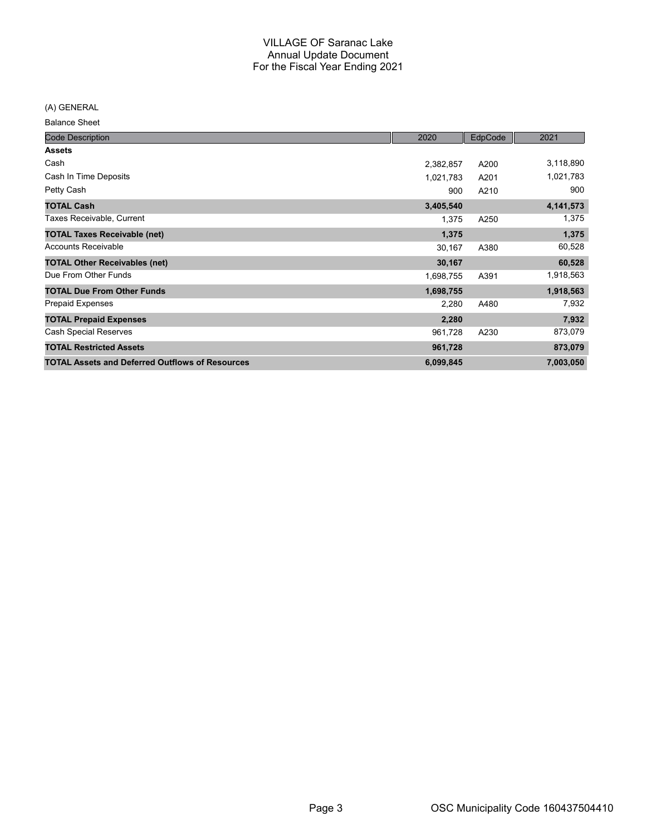(A) GENERAL

Balance Sheet

| <b>Code Description</b>                                | 2020      | EdpCode | 2021      |
|--------------------------------------------------------|-----------|---------|-----------|
| <b>Assets</b>                                          |           |         |           |
| Cash                                                   | 2,382,857 | A200    | 3,118,890 |
| Cash In Time Deposits                                  | 1,021,783 | A201    | 1,021,783 |
| Petty Cash                                             | 900       | A210    | 900       |
| <b>TOTAL Cash</b>                                      | 3,405,540 |         | 4,141,573 |
| Taxes Receivable, Current                              | 1,375     | A250    | 1,375     |
| <b>TOTAL Taxes Receivable (net)</b>                    | 1,375     |         | 1,375     |
| <b>Accounts Receivable</b>                             | 30,167    | A380    | 60,528    |
| <b>TOTAL Other Receivables (net)</b>                   | 30,167    |         | 60,528    |
| Due From Other Funds                                   | 1,698,755 | A391    | 1,918,563 |
| <b>TOTAL Due From Other Funds</b>                      | 1,698,755 |         | 1,918,563 |
| <b>Prepaid Expenses</b>                                | 2,280     | A480    | 7,932     |
| <b>TOTAL Prepaid Expenses</b>                          | 2,280     |         | 7,932     |
| <b>Cash Special Reserves</b>                           | 961,728   | A230    | 873,079   |
| <b>TOTAL Restricted Assets</b>                         | 961,728   |         | 873,079   |
| <b>TOTAL Assets and Deferred Outflows of Resources</b> | 6,099,845 |         | 7,003,050 |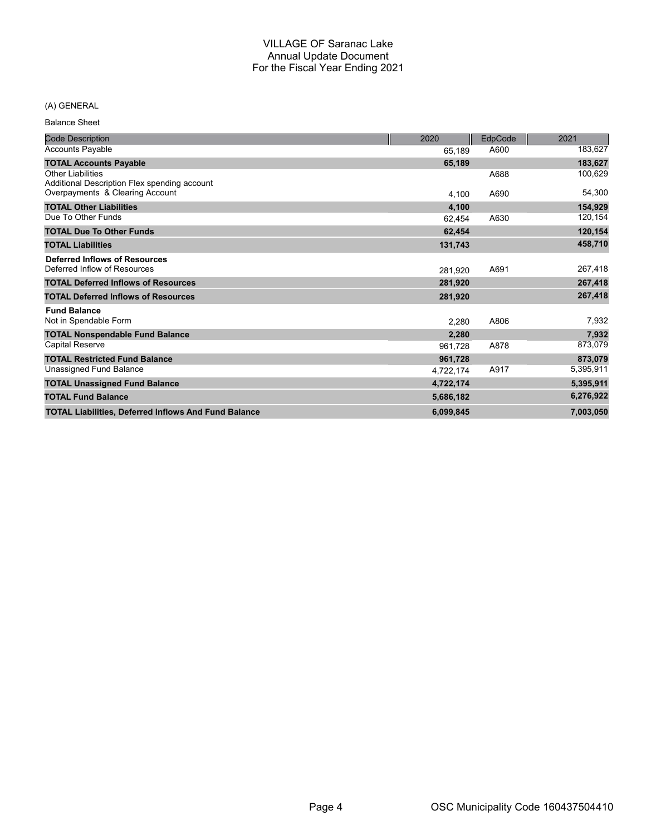#### (A) GENERAL

Balance Sheet

| <b>Code Description</b>                                                  | 2020      | EdpCode | 2021      |
|--------------------------------------------------------------------------|-----------|---------|-----------|
| <b>Accounts Payable</b>                                                  | 65,189    | A600    | 183,627   |
| <b>TOTAL Accounts Payable</b>                                            | 65,189    |         | 183,627   |
| <b>Other Liabilities</b><br>Additional Description Flex spending account |           | A688    | 100,629   |
| Overpayments & Clearing Account                                          | 4.100     | A690    | 54,300    |
| <b>TOTAL Other Liabilities</b>                                           | 4,100     |         | 154,929   |
| Due To Other Funds                                                       | 62,454    | A630    | 120,154   |
| <b>TOTAL Due To Other Funds</b>                                          | 62,454    |         | 120,154   |
| <b>TOTAL Liabilities</b>                                                 | 131,743   |         | 458,710   |
| <b>Deferred Inflows of Resources</b>                                     |           |         |           |
| Deferred Inflow of Resources                                             | 281,920   | A691    | 267,418   |
| <b>TOTAL Deferred Inflows of Resources</b>                               | 281,920   |         | 267,418   |
| <b>TOTAL Deferred Inflows of Resources</b>                               | 281,920   |         | 267,418   |
| <b>Fund Balance</b>                                                      |           |         |           |
| Not in Spendable Form                                                    | 2,280     | A806    | 7,932     |
| <b>TOTAL Nonspendable Fund Balance</b>                                   | 2,280     |         | 7,932     |
| <b>Capital Reserve</b>                                                   | 961,728   | A878    | 873,079   |
| <b>TOTAL Restricted Fund Balance</b>                                     | 961,728   |         | 873,079   |
| Unassigned Fund Balance                                                  | 4,722,174 | A917    | 5,395,911 |
| <b>TOTAL Unassigned Fund Balance</b>                                     | 4,722,174 |         | 5,395,911 |
| <b>TOTAL Fund Balance</b>                                                | 5,686,182 |         | 6,276,922 |
| <b>TOTAL Liabilities, Deferred Inflows And Fund Balance</b>              | 6,099,845 |         | 7,003,050 |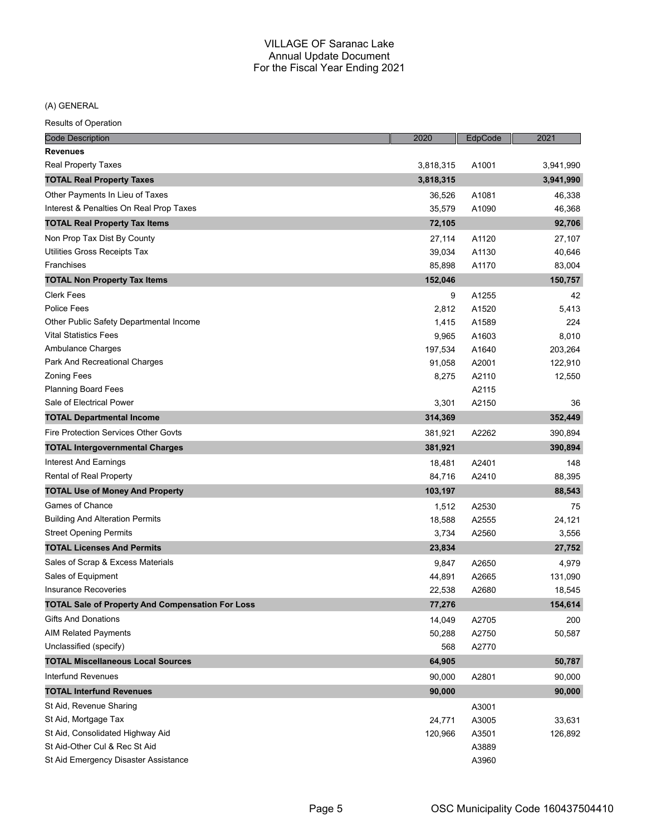(A) GENERAL

| <b>Code Description</b>                                 | 2020      | EdpCode | 2021      |
|---------------------------------------------------------|-----------|---------|-----------|
| <b>Revenues</b>                                         |           |         |           |
| <b>Real Property Taxes</b>                              | 3,818,315 | A1001   | 3,941,990 |
| <b>TOTAL Real Property Taxes</b>                        | 3,818,315 |         | 3,941,990 |
| Other Payments In Lieu of Taxes                         | 36,526    | A1081   | 46,338    |
| Interest & Penalties On Real Prop Taxes                 | 35,579    | A1090   | 46,368    |
| <b>TOTAL Real Property Tax Items</b>                    | 72,105    |         | 92,706    |
| Non Prop Tax Dist By County                             | 27,114    | A1120   | 27,107    |
| Utilities Gross Receipts Tax                            | 39,034    | A1130   | 40,646    |
| Franchises                                              | 85,898    | A1170   | 83,004    |
| <b>TOTAL Non Property Tax Items</b>                     | 152,046   |         | 150,757   |
| <b>Clerk Fees</b>                                       | 9         | A1255   | 42        |
| <b>Police Fees</b>                                      | 2,812     | A1520   | 5,413     |
| Other Public Safety Departmental Income                 | 1,415     | A1589   | 224       |
| <b>Vital Statistics Fees</b>                            | 9,965     | A1603   | 8,010     |
| Ambulance Charges                                       | 197,534   | A1640   | 203,264   |
| Park And Recreational Charges                           | 91,058    | A2001   | 122,910   |
| <b>Zoning Fees</b>                                      | 8,275     | A2110   | 12,550    |
| <b>Planning Board Fees</b>                              |           | A2115   |           |
| Sale of Electrical Power                                | 3,301     | A2150   | 36        |
| <b>TOTAL Departmental Income</b>                        | 314,369   |         | 352,449   |
| Fire Protection Services Other Govts                    | 381,921   | A2262   | 390,894   |
| <b>TOTAL Intergovernmental Charges</b>                  | 381,921   |         | 390,894   |
| Interest And Earnings                                   | 18,481    | A2401   | 148       |
| Rental of Real Property                                 | 84,716    | A2410   | 88,395    |
| <b>TOTAL Use of Money And Property</b>                  | 103,197   |         | 88,543    |
| <b>Games of Chance</b>                                  | 1,512     | A2530   | 75        |
| <b>Building And Alteration Permits</b>                  | 18,588    | A2555   | 24,121    |
| <b>Street Opening Permits</b>                           | 3,734     | A2560   | 3,556     |
| <b>TOTAL Licenses And Permits</b>                       | 23,834    |         | 27,752    |
| Sales of Scrap & Excess Materials                       | 9,847     | A2650   | 4,979     |
| Sales of Equipment                                      | 44,891    | A2665   | 131,090   |
| <b>Insurance Recoveries</b>                             | 22,538    | A2680   | 18,545    |
| <b>TOTAL Sale of Property And Compensation For Loss</b> | 77,276    |         | 154,614   |
| Gifts And Donations                                     | 14,049    | A2705   | 200       |
| <b>AIM Related Payments</b>                             | 50,288    | A2750   | 50,587    |
| Unclassified (specify)                                  | 568       | A2770   |           |
| <b>TOTAL Miscellaneous Local Sources</b>                | 64,905    |         | 50,787    |
| Interfund Revenues                                      | 90,000    | A2801   | 90,000    |
| <b>TOTAL Interfund Revenues</b>                         | 90,000    |         | 90,000    |
| St Aid, Revenue Sharing                                 |           | A3001   |           |
| St Aid, Mortgage Tax                                    | 24,771    | A3005   | 33,631    |
| St Aid, Consolidated Highway Aid                        | 120,966   | A3501   | 126,892   |
| St Aid-Other Cul & Rec St Aid                           |           | A3889   |           |
| St Aid Emergency Disaster Assistance                    |           | A3960   |           |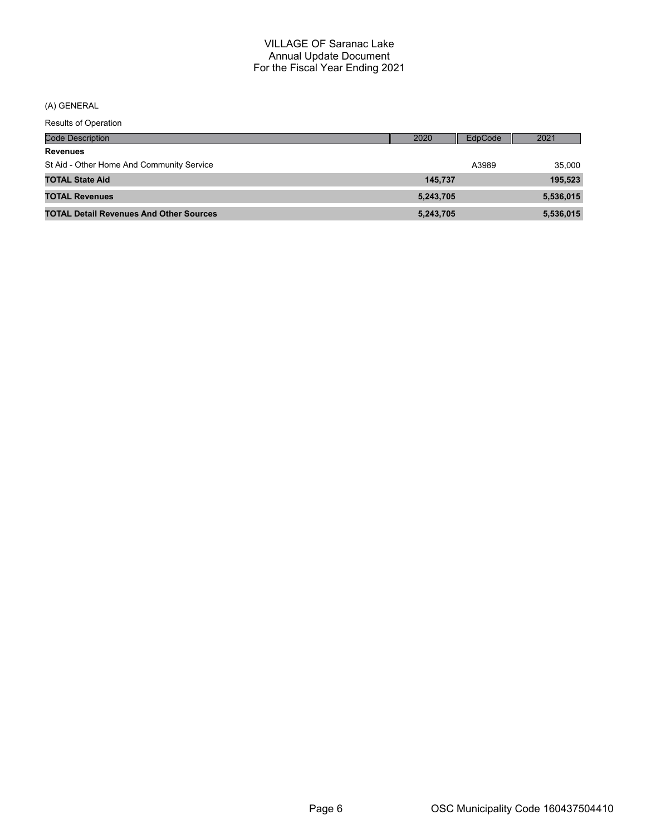(A) GENERAL

| <b>Code Description</b>                        | 2020      | EdpCode | 2021      |
|------------------------------------------------|-----------|---------|-----------|
| <b>Revenues</b>                                |           |         |           |
| St Aid - Other Home And Community Service      |           | A3989   | 35.000    |
| <b>TOTAL State Aid</b>                         | 145.737   |         | 195,523   |
| <b>TOTAL Revenues</b>                          | 5,243,705 |         | 5,536,015 |
| <b>TOTAL Detail Revenues And Other Sources</b> | 5,243,705 |         | 5,536,015 |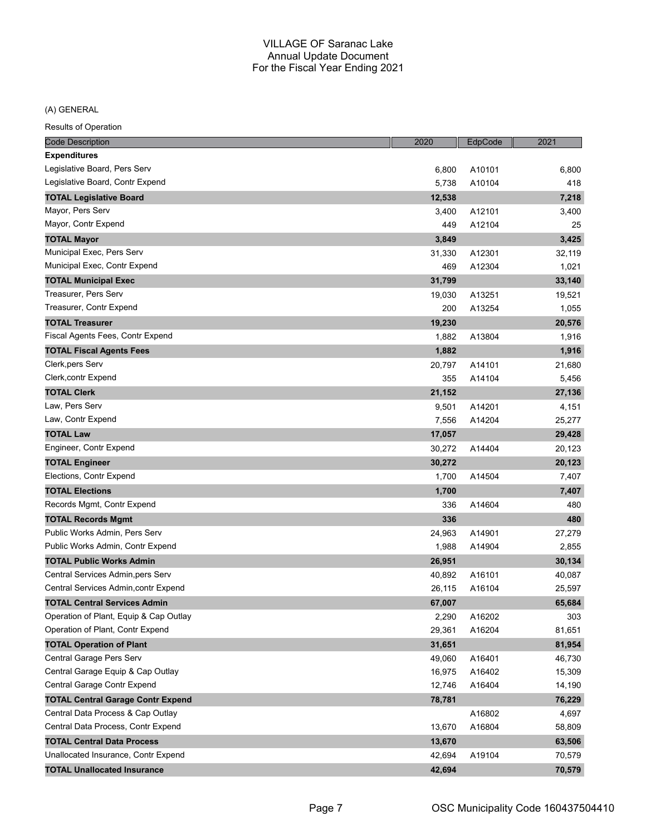## (A) GENERAL

| <b>Code Description</b>                  | 2020   | EdpCode | 2021   |
|------------------------------------------|--------|---------|--------|
| <b>Expenditures</b>                      |        |         |        |
| Legislative Board, Pers Serv             | 6,800  | A10101  | 6,800  |
| Legislative Board, Contr Expend          | 5,738  | A10104  | 418    |
| <b>TOTAL Legislative Board</b>           | 12,538 |         | 7,218  |
| Mayor, Pers Serv                         | 3,400  | A12101  | 3,400  |
| Mayor, Contr Expend                      | 449    | A12104  | 25     |
| <b>TOTAL Mayor</b>                       | 3,849  |         | 3,425  |
| Municipal Exec, Pers Serv                | 31,330 | A12301  | 32,119 |
| Municipal Exec, Contr Expend             | 469    | A12304  | 1,021  |
| <b>TOTAL Municipal Exec</b>              | 31,799 |         | 33,140 |
| Treasurer, Pers Serv                     | 19,030 | A13251  | 19,521 |
| Treasurer, Contr Expend                  | 200    | A13254  | 1,055  |
| <b>TOTAL Treasurer</b>                   | 19,230 |         | 20,576 |
| Fiscal Agents Fees, Contr Expend         | 1,882  | A13804  | 1,916  |
| <b>TOTAL Fiscal Agents Fees</b>          | 1,882  |         | 1,916  |
| Clerk, pers Serv                         | 20,797 | A14101  | 21,680 |
| Clerk, contr Expend                      | 355    | A14104  | 5,456  |
| <b>TOTAL Clerk</b>                       | 21,152 |         | 27,136 |
| Law, Pers Serv                           | 9,501  | A14201  | 4,151  |
| Law, Contr Expend                        | 7,556  | A14204  | 25,277 |
| <b>TOTAL Law</b>                         | 17,057 |         | 29,428 |
| Engineer, Contr Expend                   | 30,272 | A14404  | 20,123 |
| <b>TOTAL Engineer</b>                    | 30,272 |         | 20,123 |
| Elections, Contr Expend                  | 1,700  | A14504  | 7,407  |
| <b>TOTAL Elections</b>                   | 1,700  |         | 7,407  |
| Records Mgmt, Contr Expend               | 336    | A14604  | 480    |
| <b>TOTAL Records Mgmt</b>                | 336    |         | 480    |
| Public Works Admin, Pers Serv            | 24,963 | A14901  | 27,279 |
| Public Works Admin, Contr Expend         | 1,988  | A14904  | 2,855  |
| <b>TOTAL Public Works Admin</b>          | 26,951 |         | 30,134 |
| Central Services Admin, pers Serv        | 40,892 | A16101  | 40,087 |
| Central Services Admin, contr Expend     | 26,115 | A16104  | 25,597 |
| <b>TOTAL Central Services Admin</b>      | 67,007 |         | 65,684 |
| Operation of Plant, Equip & Cap Outlay   | 2,290  | A16202  | 303    |
| Operation of Plant, Contr Expend         | 29,361 | A16204  | 81,651 |
| <b>TOTAL Operation of Plant</b>          | 31,651 |         | 81,954 |
| Central Garage Pers Serv                 | 49,060 | A16401  | 46,730 |
| Central Garage Equip & Cap Outlay        | 16,975 | A16402  | 15,309 |
| Central Garage Contr Expend              | 12,746 | A16404  | 14,190 |
| <b>TOTAL Central Garage Contr Expend</b> | 78,781 |         | 76,229 |
| Central Data Process & Cap Outlay        |        | A16802  | 4,697  |
| Central Data Process, Contr Expend       | 13,670 | A16804  | 58,809 |
| <b>TOTAL Central Data Process</b>        | 13,670 |         | 63,506 |
| Unallocated Insurance, Contr Expend      | 42,694 | A19104  | 70,579 |
| <b>TOTAL Unallocated Insurance</b>       | 42,694 |         | 70,579 |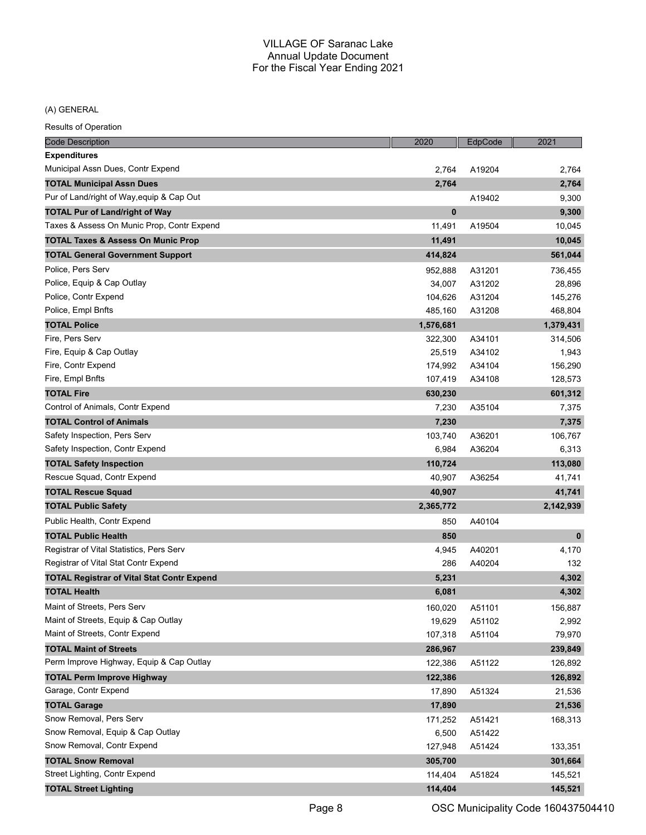## (A) GENERAL

| <b>Code Description</b>                           | 2020        | EdpCode | 2021      |
|---------------------------------------------------|-------------|---------|-----------|
| <b>Expenditures</b>                               |             |         |           |
| Municipal Assn Dues, Contr Expend                 | 2,764       | A19204  | 2.764     |
| <b>TOTAL Municipal Assn Dues</b>                  | 2,764       |         | 2,764     |
| Pur of Land/right of Way, equip & Cap Out         |             | A19402  | 9,300     |
| <b>TOTAL Pur of Land/right of Way</b>             | $\mathbf 0$ |         | 9,300     |
| Taxes & Assess On Munic Prop, Contr Expend        | 11,491      | A19504  | 10,045    |
| <b>TOTAL Taxes &amp; Assess On Munic Prop</b>     | 11,491      |         | 10,045    |
| <b>TOTAL General Government Support</b>           | 414,824     |         | 561,044   |
| Police, Pers Serv                                 | 952,888     | A31201  | 736,455   |
| Police, Equip & Cap Outlay                        | 34,007      | A31202  | 28,896    |
| Police, Contr Expend                              | 104,626     | A31204  | 145,276   |
| Police, Empl Bnfts                                | 485,160     | A31208  | 468,804   |
| <b>TOTAL Police</b>                               | 1,576,681   |         | 1,379,431 |
| Fire, Pers Serv                                   | 322,300     | A34101  | 314,506   |
| Fire, Equip & Cap Outlay                          | 25,519      | A34102  | 1,943     |
| Fire, Contr Expend                                | 174,992     | A34104  | 156,290   |
| Fire, Empl Bnfts                                  | 107,419     | A34108  | 128,573   |
| <b>TOTAL Fire</b>                                 | 630,230     |         | 601,312   |
| Control of Animals, Contr Expend                  | 7,230       | A35104  | 7,375     |
| <b>TOTAL Control of Animals</b>                   | 7,230       |         | 7,375     |
| Safety Inspection, Pers Serv                      | 103,740     | A36201  | 106,767   |
| Safety Inspection, Contr Expend                   | 6,984       | A36204  | 6,313     |
| <b>TOTAL Safety Inspection</b>                    | 110,724     |         | 113,080   |
| Rescue Squad, Contr Expend                        | 40,907      | A36254  | 41,741    |
| <b>TOTAL Rescue Squad</b>                         | 40,907      |         | 41,741    |
| <b>TOTAL Public Safety</b>                        | 2,365,772   |         | 2,142,939 |
| Public Health, Contr Expend                       | 850         | A40104  |           |
| <b>TOTAL Public Health</b>                        | 850         |         | $\bf{0}$  |
| Registrar of Vital Statistics, Pers Serv          | 4,945       | A40201  | 4,170     |
| Registrar of Vital Stat Contr Expend              | 286         | A40204  | 132       |
| <b>TOTAL Registrar of Vital Stat Contr Expend</b> | 5,231       |         | 4,302     |
| <b>TOTAL Health</b>                               | 6,081       |         | 4,302     |
| Maint of Streets, Pers Serv                       | 160,020     | A51101  | 156,887   |
| Maint of Streets, Equip & Cap Outlay              | 19,629      | A51102  | 2,992     |
| Maint of Streets, Contr Expend                    | 107,318     | A51104  | 79,970    |
| <b>TOTAL Maint of Streets</b>                     | 286,967     |         | 239,849   |
| Perm Improve Highway, Equip & Cap Outlay          | 122,386     | A51122  | 126,892   |
| <b>TOTAL Perm Improve Highway</b>                 | 122,386     |         | 126,892   |
| Garage, Contr Expend                              | 17,890      | A51324  | 21,536    |
| <b>TOTAL Garage</b>                               | 17,890      |         | 21,536    |
| Snow Removal, Pers Serv                           | 171,252     | A51421  | 168,313   |
| Snow Removal, Equip & Cap Outlay                  | 6,500       | A51422  |           |
| Snow Removal, Contr Expend                        | 127,948     | A51424  | 133,351   |
| <b>TOTAL Snow Removal</b>                         | 305,700     |         | 301,664   |
| Street Lighting, Contr Expend                     | 114,404     | A51824  | 145,521   |
| <b>TOTAL Street Lighting</b>                      | 114,404     |         | 145,521   |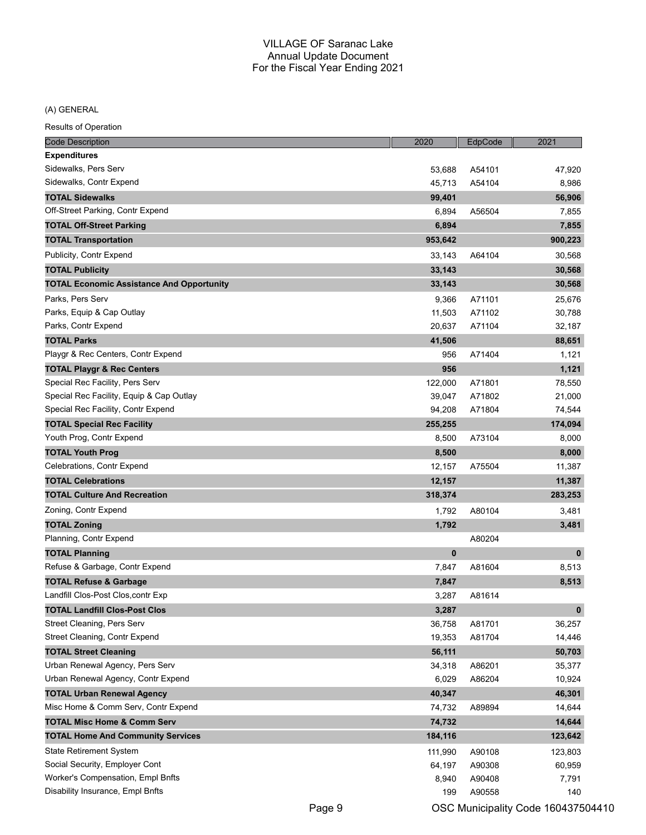(A) GENERAL

| <b>Code Description</b>                          | 2020    | EdpCode | 2021         |
|--------------------------------------------------|---------|---------|--------------|
| <b>Expenditures</b>                              |         |         |              |
| Sidewalks, Pers Serv                             | 53,688  | A54101  | 47,920       |
| Sidewalks, Contr Expend                          | 45,713  | A54104  | 8,986        |
| <b>TOTAL Sidewalks</b>                           | 99,401  |         | 56,906       |
| Off-Street Parking, Contr Expend                 | 6,894   | A56504  | 7,855        |
| <b>TOTAL Off-Street Parking</b>                  | 6,894   |         | 7,855        |
| <b>TOTAL Transportation</b>                      | 953,642 |         | 900,223      |
| Publicity, Contr Expend                          | 33,143  | A64104  | 30,568       |
| <b>TOTAL Publicity</b>                           | 33,143  |         | 30,568       |
| <b>TOTAL Economic Assistance And Opportunity</b> | 33,143  |         | 30,568       |
| Parks, Pers Serv                                 | 9,366   | A71101  | 25,676       |
| Parks, Equip & Cap Outlay                        | 11,503  | A71102  | 30,788       |
| Parks, Contr Expend                              | 20,637  | A71104  | 32,187       |
| <b>TOTAL Parks</b>                               | 41,506  |         | 88,651       |
| Playgr & Rec Centers, Contr Expend               | 956     | A71404  | 1,121        |
| <b>TOTAL Playgr &amp; Rec Centers</b>            | 956     |         | 1,121        |
| Special Rec Facility, Pers Serv                  | 122,000 | A71801  | 78,550       |
| Special Rec Facility, Equip & Cap Outlay         | 39,047  | A71802  | 21,000       |
| Special Rec Facility, Contr Expend               | 94,208  | A71804  | 74,544       |
| <b>TOTAL Special Rec Facility</b>                | 255,255 |         | 174,094      |
| Youth Prog, Contr Expend                         | 8,500   | A73104  | 8,000        |
| <b>TOTAL Youth Prog</b>                          | 8,500   |         | 8,000        |
| Celebrations, Contr Expend                       | 12,157  | A75504  | 11,387       |
| <b>TOTAL Celebrations</b>                        | 12,157  |         | 11,387       |
| <b>TOTAL Culture And Recreation</b>              | 318,374 |         | 283,253      |
| Zoning, Contr Expend                             | 1,792   | A80104  | 3,481        |
| <b>TOTAL Zoning</b>                              | 1,792   |         | 3,481        |
| Planning, Contr Expend                           |         | A80204  |              |
| <b>TOTAL Planning</b>                            | 0       |         | $\mathbf{0}$ |
| Refuse & Garbage, Contr Expend                   | 7,847   | A81604  | 8,513        |
| <b>TOTAL Refuse &amp; Garbage</b>                | 7,847   |         | 8,513        |
| Landfill Clos-Post Clos, contr Exp               | 3,287   | A81614  |              |
| <b>TOTAL Landfill Clos-Post Clos</b>             | 3,287   |         | $\pmb{0}$    |
| Street Cleaning, Pers Serv                       | 36,758  | A81701  | 36,257       |
| Street Cleaning, Contr Expend                    | 19,353  | A81704  | 14,446       |
| <b>TOTAL Street Cleaning</b>                     | 56,111  |         | 50,703       |
| Urban Renewal Agency, Pers Serv                  | 34,318  | A86201  | 35,377       |
| Urban Renewal Agency, Contr Expend               | 6,029   | A86204  | 10,924       |
| <b>TOTAL Urban Renewal Agency</b>                | 40,347  |         | 46,301       |
| Misc Home & Comm Serv, Contr Expend              | 74,732  | A89894  | 14,644       |
| <b>TOTAL Misc Home &amp; Comm Serv</b>           | 74,732  |         | 14,644       |
| <b>TOTAL Home And Community Services</b>         | 184,116 |         | 123,642      |
| <b>State Retirement System</b>                   | 111,990 | A90108  | 123,803      |
| Social Security, Employer Cont                   | 64,197  | A90308  | 60,959       |
| Worker's Compensation, Empl Bnfts                | 8,940   | A90408  | 7,791        |
| Disability Insurance, Empl Bnfts                 | 199     | A90558  | 140          |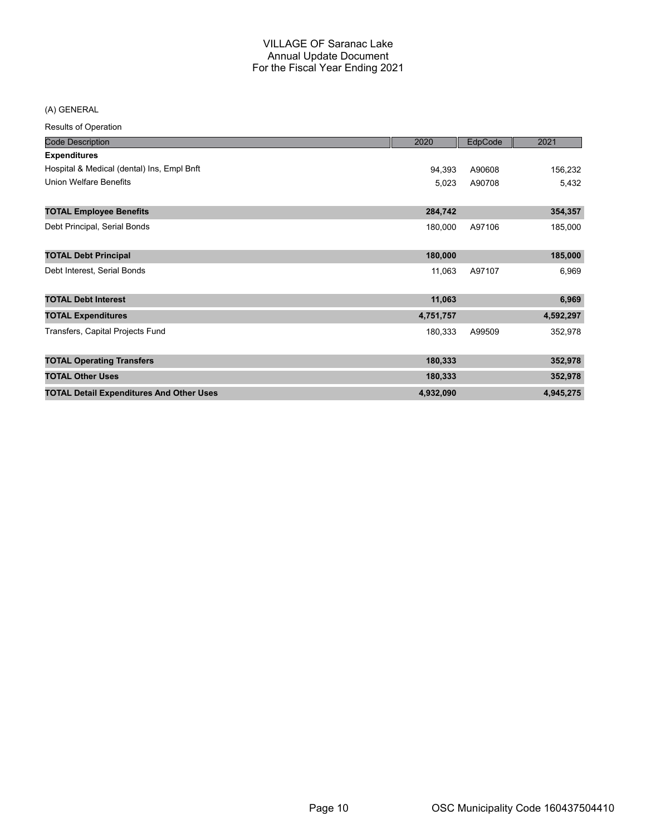(A) GENERAL

| <b>Results of Operation</b>                     |           |         |           |
|-------------------------------------------------|-----------|---------|-----------|
| <b>Code Description</b>                         | 2020      | EdpCode | 2021      |
| <b>Expenditures</b>                             |           |         |           |
| Hospital & Medical (dental) Ins, Empl Bnft      | 94,393    | A90608  | 156,232   |
| <b>Union Welfare Benefits</b>                   | 5,023     | A90708  | 5,432     |
| <b>TOTAL Employee Benefits</b>                  | 284,742   |         | 354,357   |
| Debt Principal, Serial Bonds                    | 180,000   | A97106  | 185,000   |
| <b>TOTAL Debt Principal</b>                     | 180,000   |         | 185,000   |
| Debt Interest, Serial Bonds                     | 11,063    | A97107  | 6,969     |
| <b>TOTAL Debt Interest</b>                      | 11,063    |         | 6,969     |
| <b>TOTAL Expenditures</b>                       | 4,751,757 |         | 4,592,297 |
| Transfers, Capital Projects Fund                | 180,333   | A99509  | 352,978   |
| <b>TOTAL Operating Transfers</b>                | 180,333   |         | 352,978   |
| <b>TOTAL Other Uses</b>                         | 180,333   |         | 352,978   |
| <b>TOTAL Detail Expenditures And Other Uses</b> | 4,932,090 |         | 4,945,275 |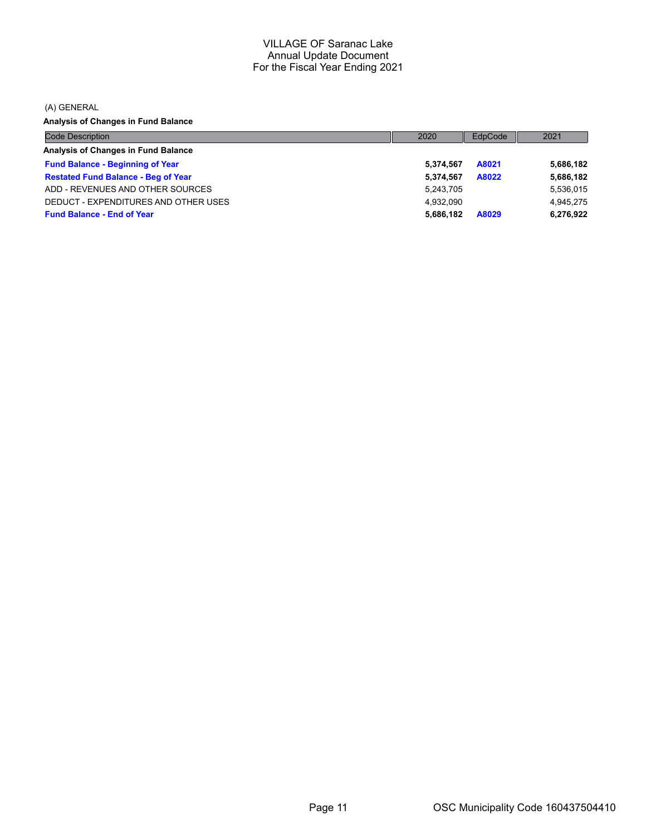(A) GENERAL

**Analysis of Changes in Fund Balance**

| <b>Code Description</b>                    | 2020      | EdpCode | 2021      |
|--------------------------------------------|-----------|---------|-----------|
| Analysis of Changes in Fund Balance        |           |         |           |
| <b>Fund Balance - Beginning of Year</b>    | 5.374.567 | A8021   | 5,686,182 |
| <b>Restated Fund Balance - Beg of Year</b> | 5.374.567 | A8022   | 5,686,182 |
| ADD - REVENUES AND OTHER SOURCES           | 5,243,705 |         | 5,536,015 |
| DEDUCT - EXPENDITURES AND OTHER USES       | 4.932.090 |         | 4.945.275 |
| <b>Fund Balance - End of Year</b>          | 5.686.182 | A8029   | 6,276,922 |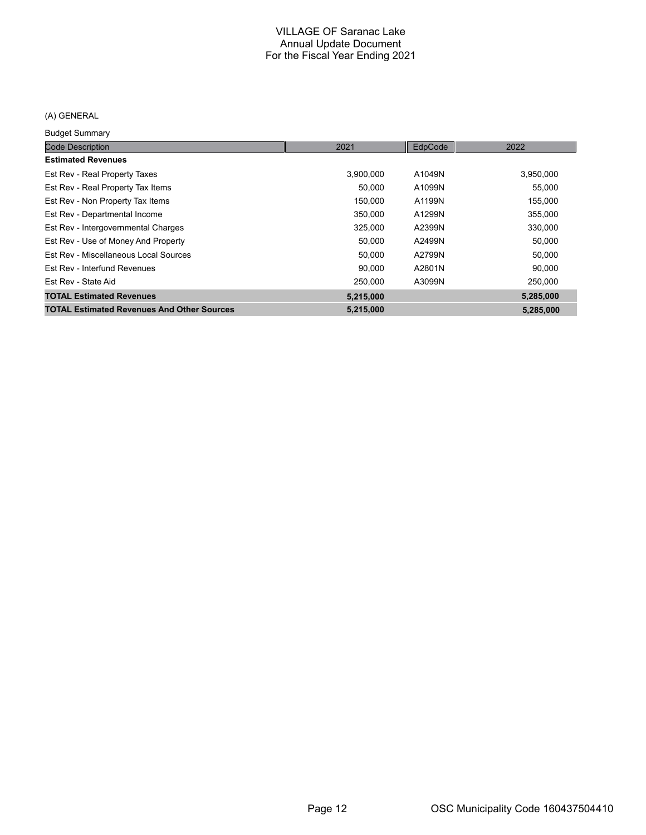## (A) GENERAL

Budget Summary

| <b>Code Description</b>                           | 2021      | EdpCode | 2022      |
|---------------------------------------------------|-----------|---------|-----------|
| <b>Estimated Revenues</b>                         |           |         |           |
| Est Rev - Real Property Taxes                     | 3.900.000 | A1049N  | 3,950,000 |
| Est Rev - Real Property Tax Items                 | 50,000    | A1099N  | 55,000    |
| Est Rev - Non Property Tax Items                  | 150,000   | A1199N  | 155,000   |
| Est Rev - Departmental Income                     | 350,000   | A1299N  | 355,000   |
| Est Rev - Intergovernmental Charges               | 325,000   | A2399N  | 330,000   |
| Est Rev - Use of Money And Property               | 50,000    | A2499N  | 50,000    |
| Est Rev - Miscellaneous Local Sources             | 50,000    | A2799N  | 50,000    |
| Est Rev - Interfund Revenues                      | 90,000    | A2801N  | 90,000    |
| Est Rev - State Aid                               | 250,000   | A3099N  | 250,000   |
| <b>TOTAL Estimated Revenues</b>                   | 5,215,000 |         | 5,285,000 |
| <b>TOTAL Estimated Revenues And Other Sources</b> | 5,215,000 |         | 5,285,000 |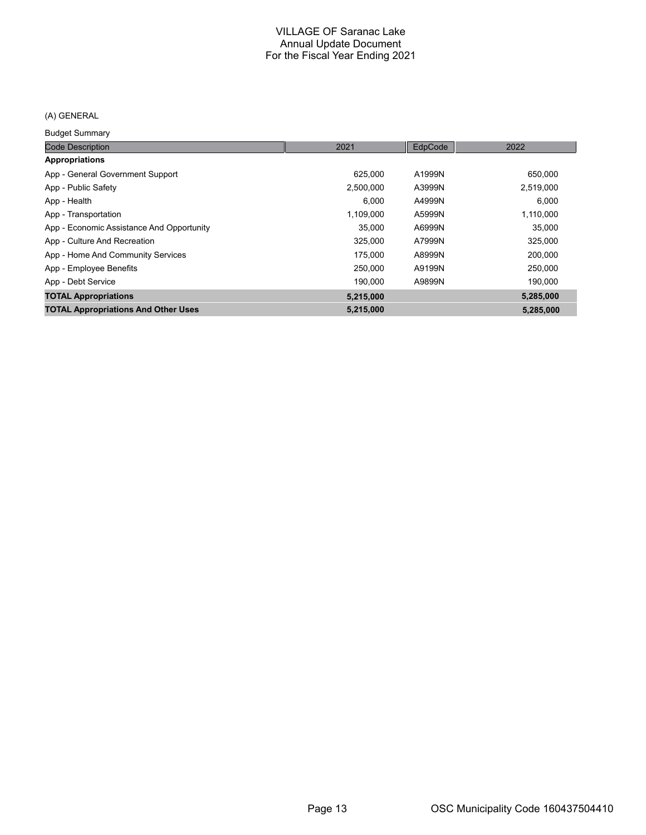## (A) GENERAL

Budget Summary

| <b>Code Description</b>                    | 2021      | EdpCode | 2022      |
|--------------------------------------------|-----------|---------|-----------|
| <b>Appropriations</b>                      |           |         |           |
| App - General Government Support           | 625,000   | A1999N  | 650,000   |
| App - Public Safety                        | 2,500,000 | A3999N  | 2,519,000 |
| App - Health                               | 6,000     | A4999N  | 6,000     |
| App - Transportation                       | 1,109,000 | A5999N  | 1,110,000 |
| App - Economic Assistance And Opportunity  | 35,000    | A6999N  | 35,000    |
| App - Culture And Recreation               | 325,000   | A7999N  | 325,000   |
| App - Home And Community Services          | 175.000   | A8999N  | 200.000   |
| App - Employee Benefits                    | 250,000   | A9199N  | 250,000   |
| App - Debt Service                         | 190.000   | A9899N  | 190.000   |
| <b>TOTAL Appropriations</b>                | 5,215,000 |         | 5,285,000 |
| <b>TOTAL Appropriations And Other Uses</b> | 5,215,000 |         | 5,285,000 |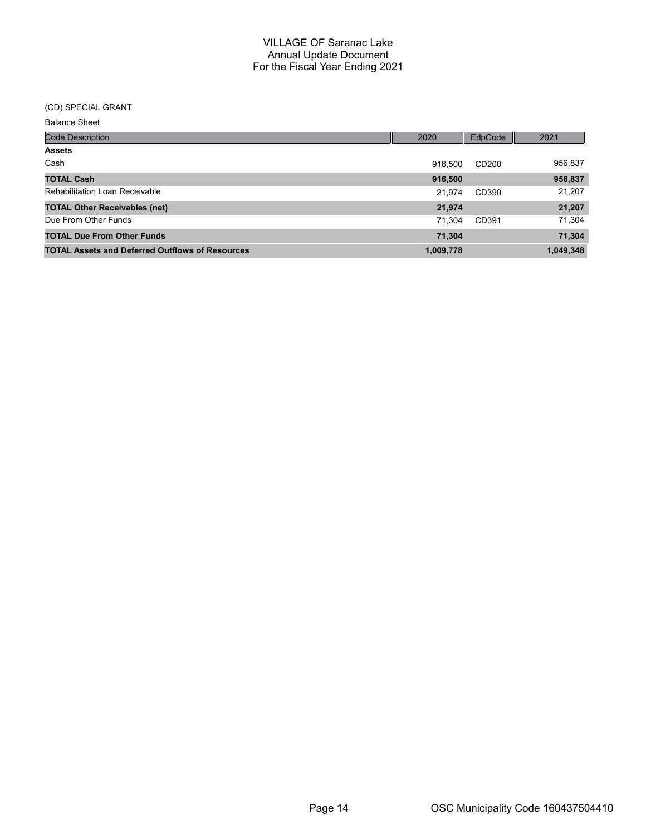# (CD) SPECIAL GRANT

| <b>Code Description</b>                                | 2020      | EdpCode | 2021      |
|--------------------------------------------------------|-----------|---------|-----------|
| <b>Assets</b>                                          |           |         |           |
| Cash                                                   | 916.500   | CD200   | 956,837   |
| <b>TOTAL Cash</b>                                      | 916,500   |         | 956,837   |
| <b>Rehabilitation Loan Receivable</b>                  | 21.974    | CD390   | 21,207    |
| <b>TOTAL Other Receivables (net)</b>                   | 21,974    |         | 21,207    |
| Due From Other Funds                                   | 71.304    | CD391   | 71,304    |
| <b>TOTAL Due From Other Funds</b>                      | 71,304    |         | 71,304    |
| <b>TOTAL Assets and Deferred Outflows of Resources</b> | 1,009,778 |         | 1,049,348 |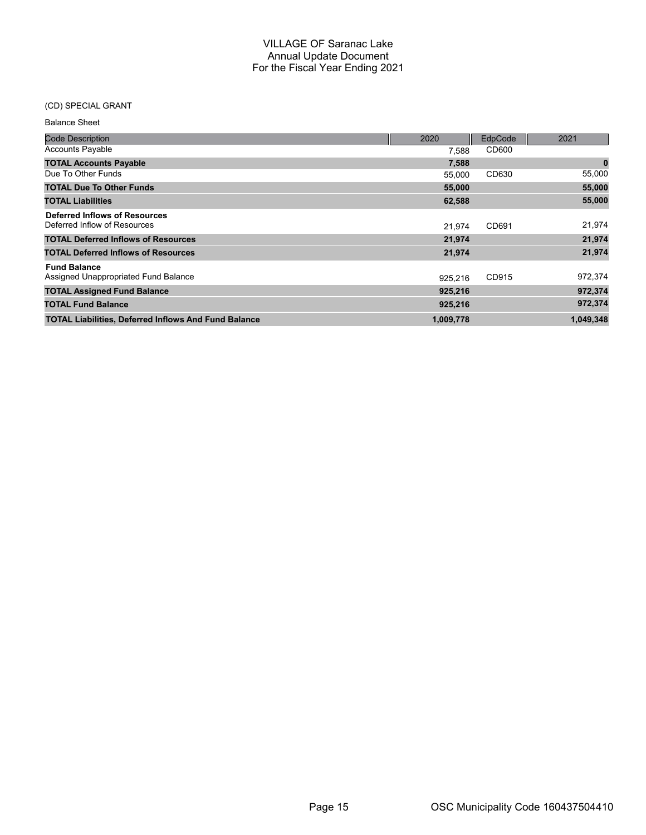# (CD) SPECIAL GRANT

| <b>Balance Sheet</b>                                          |           |         |           |
|---------------------------------------------------------------|-----------|---------|-----------|
| <b>Code Description</b>                                       | 2020      | EdpCode | 2021      |
| <b>Accounts Payable</b>                                       | 7,588     | CD600   |           |
| <b>TOTAL Accounts Payable</b>                                 | 7,588     |         | $\pmb{0}$ |
| Due To Other Funds                                            | 55,000    | CD630   | 55,000    |
| <b>TOTAL Due To Other Funds</b>                               | 55,000    |         | 55,000    |
| <b>TOTAL Liabilities</b>                                      | 62,588    |         | 55,000    |
| Deferred Inflows of Resources<br>Deferred Inflow of Resources | 21.974    | CD691   | 21,974    |
| <b>TOTAL Deferred Inflows of Resources</b>                    | 21,974    |         | 21,974    |
| <b>TOTAL Deferred Inflows of Resources</b>                    | 21,974    |         | 21,974    |
| <b>Fund Balance</b><br>Assigned Unappropriated Fund Balance   | 925.216   | CD915   | 972,374   |
| <b>TOTAL Assigned Fund Balance</b>                            | 925,216   |         | 972,374   |
| <b>TOTAL Fund Balance</b>                                     | 925,216   |         | 972,374   |
| <b>TOTAL Liabilities, Deferred Inflows And Fund Balance</b>   | 1,009,778 |         | 1,049,348 |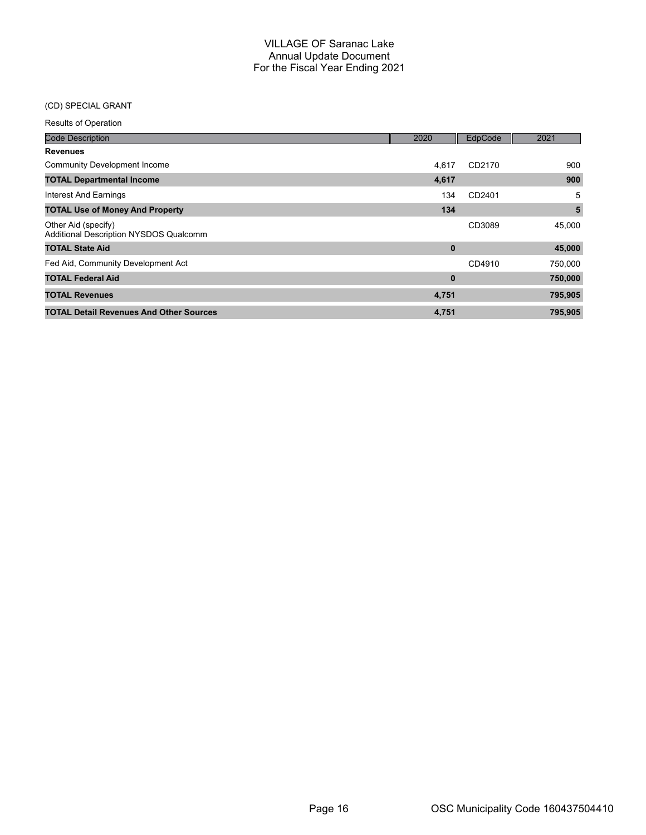## (CD) SPECIAL GRANT

| <b>Code Description</b>                                       | 2020     | EdpCode | 2021    |
|---------------------------------------------------------------|----------|---------|---------|
| <b>Revenues</b>                                               |          |         |         |
| <b>Community Development Income</b>                           | 4.617    | CD2170  | 900     |
| <b>TOTAL Departmental Income</b>                              | 4,617    |         | 900     |
| Interest And Earnings                                         | 134      | CD2401  | 5       |
| <b>TOTAL Use of Money And Property</b>                        | 134      |         | 5       |
| Other Aid (specify)<br>Additional Description NYSDOS Qualcomm |          | CD3089  | 45,000  |
| <b>TOTAL State Aid</b>                                        | $\bf{0}$ |         | 45,000  |
| Fed Aid, Community Development Act                            |          | CD4910  | 750,000 |
| <b>TOTAL Federal Aid</b>                                      | $\bf{0}$ |         | 750,000 |
| <b>TOTAL Revenues</b>                                         | 4,751    |         | 795,905 |
| <b>TOTAL Detail Revenues And Other Sources</b>                | 4,751    |         | 795,905 |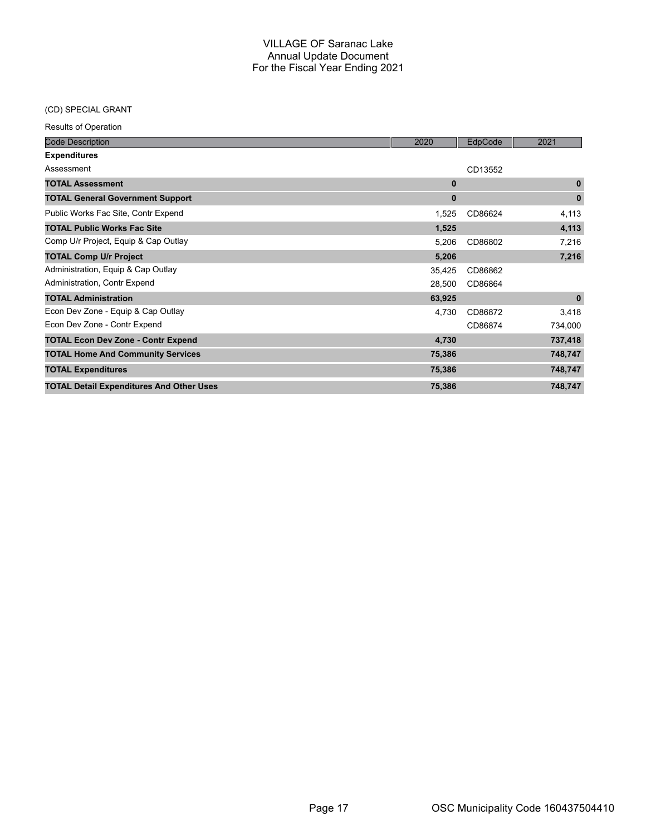## (CD) SPECIAL GRANT

| <b>Code Description</b>                         | 2020        | EdpCode | 2021         |
|-------------------------------------------------|-------------|---------|--------------|
| <b>Expenditures</b>                             |             |         |              |
| Assessment                                      |             | CD13552 |              |
| <b>TOTAL Assessment</b>                         | $\mathbf 0$ |         | $\mathbf{0}$ |
| <b>TOTAL General Government Support</b>         | $\bf{0}$    |         | $\bf{0}$     |
| Public Works Fac Site, Contr Expend             | 1,525       | CD86624 | 4,113        |
| <b>TOTAL Public Works Fac Site</b>              | 1,525       |         | 4,113        |
| Comp U/r Project, Equip & Cap Outlay            | 5,206       | CD86802 | 7,216        |
| <b>TOTAL Comp U/r Project</b>                   | 5,206       |         | 7,216        |
| Administration, Equip & Cap Outlay              | 35,425      | CD86862 |              |
| Administration, Contr Expend                    | 28,500      | CD86864 |              |
| <b>TOTAL Administration</b>                     | 63,925      |         | $\pmb{0}$    |
| Econ Dev Zone - Equip & Cap Outlay              | 4,730       | CD86872 | 3,418        |
| Econ Dev Zone - Contr Expend                    |             | CD86874 | 734,000      |
| <b>TOTAL Econ Dev Zone - Contr Expend</b>       | 4,730       |         | 737,418      |
| <b>TOTAL Home And Community Services</b>        | 75,386      |         | 748,747      |
| <b>TOTAL Expenditures</b>                       | 75,386      |         | 748,747      |
| <b>TOTAL Detail Expenditures And Other Uses</b> | 75,386      |         | 748,747      |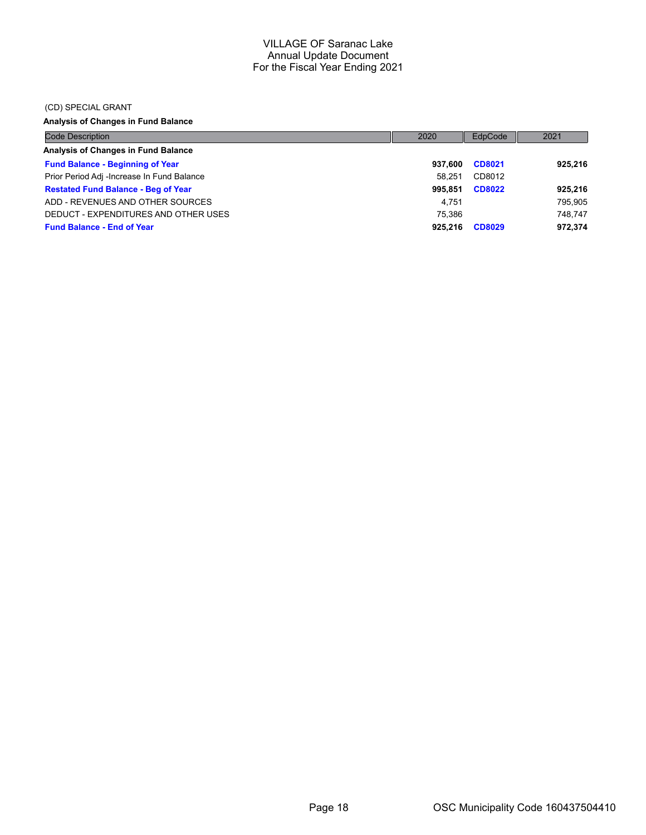#### (CD) SPECIAL GRANT

# **Analysis of Changes in Fund Balance**

| <b>Code Description</b>                    | 2020    | EdpCode       | 2021    |
|--------------------------------------------|---------|---------------|---------|
| Analysis of Changes in Fund Balance        |         |               |         |
| <b>Fund Balance - Beginning of Year</b>    | 937.600 | CD8021        | 925.216 |
| Prior Period Adj -Increase In Fund Balance | 58.251  | CD8012        |         |
| <b>Restated Fund Balance - Beg of Year</b> | 995.851 | <b>CD8022</b> | 925,216 |
| ADD - REVENUES AND OTHER SOURCES           | 4.751   |               | 795,905 |
| DEDUCT - EXPENDITURES AND OTHER USES       | 75.386  |               | 748.747 |
| <b>Fund Balance - End of Year</b>          | 925.216 | <b>CD8029</b> | 972,374 |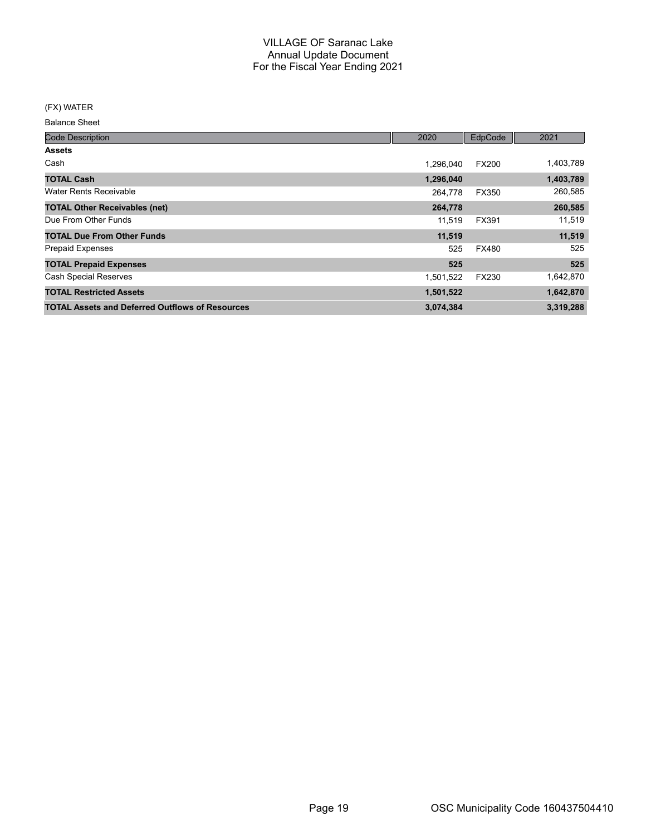#### (FX) WATER

Balance Sheet

| <b>Code Description</b>                                | 2020      | EdpCode      | 2021      |
|--------------------------------------------------------|-----------|--------------|-----------|
| <b>Assets</b>                                          |           |              |           |
| Cash                                                   | 1,296,040 | <b>FX200</b> | 1,403,789 |
| <b>TOTAL Cash</b>                                      | 1,296,040 |              | 1,403,789 |
| <b>Water Rents Receivable</b>                          | 264.778   | <b>FX350</b> | 260,585   |
| <b>TOTAL Other Receivables (net)</b>                   | 264,778   |              | 260,585   |
| Due From Other Funds                                   | 11.519    | FX391        | 11,519    |
| <b>TOTAL Due From Other Funds</b>                      | 11,519    |              | 11,519    |
| <b>Prepaid Expenses</b>                                | 525       | <b>FX480</b> | 525       |
| <b>TOTAL Prepaid Expenses</b>                          | 525       |              | 525       |
| <b>Cash Special Reserves</b>                           | 1,501,522 | FX230        | 1,642,870 |
| <b>TOTAL Restricted Assets</b>                         | 1,501,522 |              | 1,642,870 |
| <b>TOTAL Assets and Deferred Outflows of Resources</b> | 3,074,384 |              | 3,319,288 |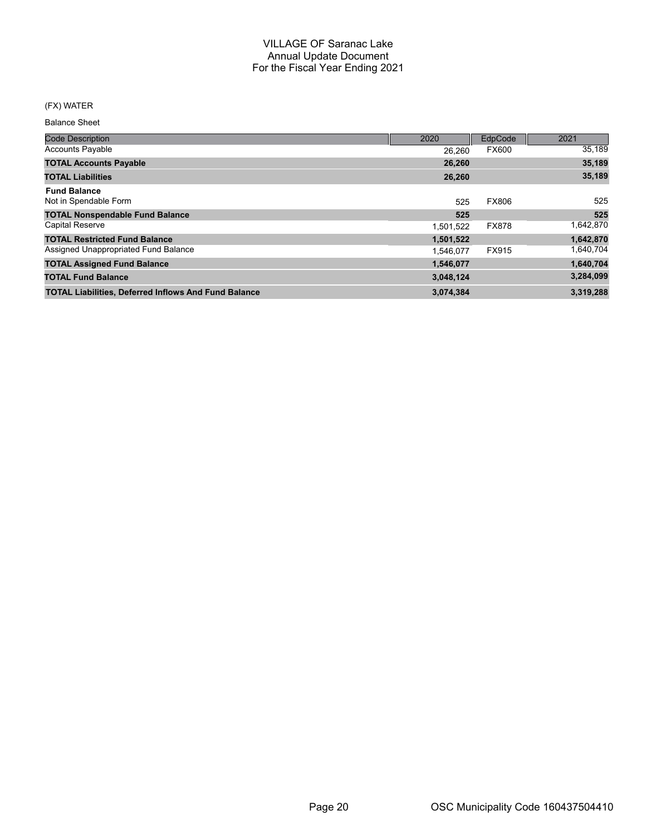#### (FX) WATER

Balance Sheet

| <b>Code Description</b>                                     | 2020      | <b>EdpCode</b> | 2021      |
|-------------------------------------------------------------|-----------|----------------|-----------|
| <b>Accounts Payable</b>                                     | 26.260    | <b>FX600</b>   | 35,189    |
| <b>TOTAL Accounts Payable</b>                               | 26.260    |                | 35,189    |
| <b>TOTAL Liabilities</b>                                    | 26,260    |                | 35,189    |
| <b>Fund Balance</b>                                         |           |                |           |
| Not in Spendable Form                                       | 525       | <b>FX806</b>   | 525       |
| <b>TOTAL Nonspendable Fund Balance</b>                      | 525       |                | 525       |
| <b>Capital Reserve</b>                                      | 1,501,522 | <b>FX878</b>   | 1,642,870 |
| <b>TOTAL Restricted Fund Balance</b>                        | 1,501,522 |                | 1,642,870 |
| Assigned Unappropriated Fund Balance                        | 1,546,077 | FX915          | 1,640,704 |
| <b>TOTAL Assigned Fund Balance</b>                          | 1,546,077 |                | 1,640,704 |
| <b>TOTAL Fund Balance</b>                                   | 3,048,124 |                | 3,284,099 |
| <b>TOTAL Liabilities, Deferred Inflows And Fund Balance</b> | 3,074,384 |                | 3.319.288 |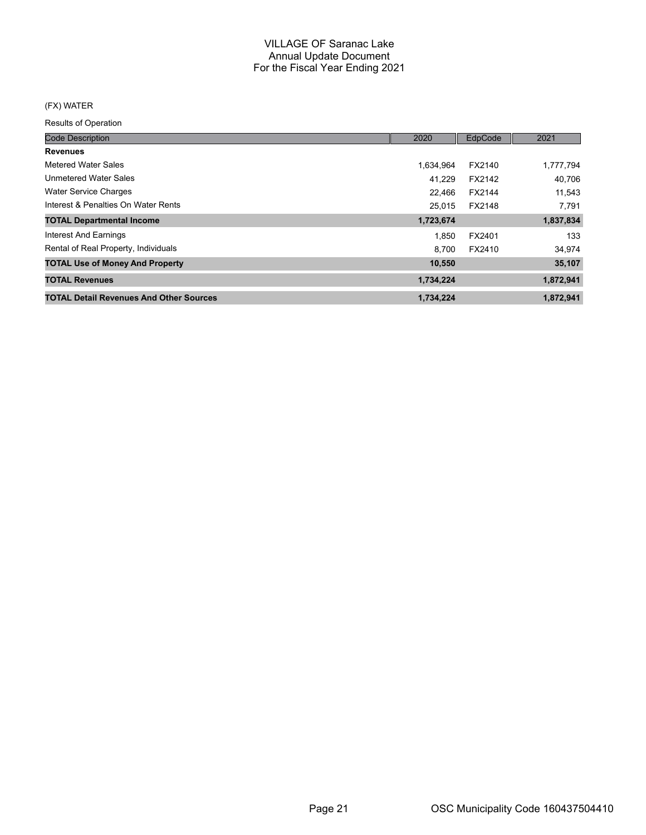## (FX) WATER

| <b>Code Description</b>                        | 2020      | EdpCode | 2021      |
|------------------------------------------------|-----------|---------|-----------|
| <b>Revenues</b>                                |           |         |           |
| Metered Water Sales                            | 1,634,964 | FX2140  | 1,777,794 |
| <b>Unmetered Water Sales</b>                   | 41.229    | FX2142  | 40,706    |
| <b>Water Service Charges</b>                   | 22.466    | FX2144  | 11,543    |
| Interest & Penalties On Water Rents            | 25.015    | FX2148  | 7,791     |
| <b>TOTAL Departmental Income</b>               | 1,723,674 |         | 1,837,834 |
| Interest And Earnings                          | 1.850     | FX2401  | 133       |
| Rental of Real Property, Individuals           | 8.700     | FX2410  | 34,974    |
| <b>TOTAL Use of Money And Property</b>         | 10,550    |         | 35,107    |
| <b>TOTAL Revenues</b>                          | 1,734,224 |         | 1,872,941 |
| <b>TOTAL Detail Revenues And Other Sources</b> | 1,734,224 |         | 1,872,941 |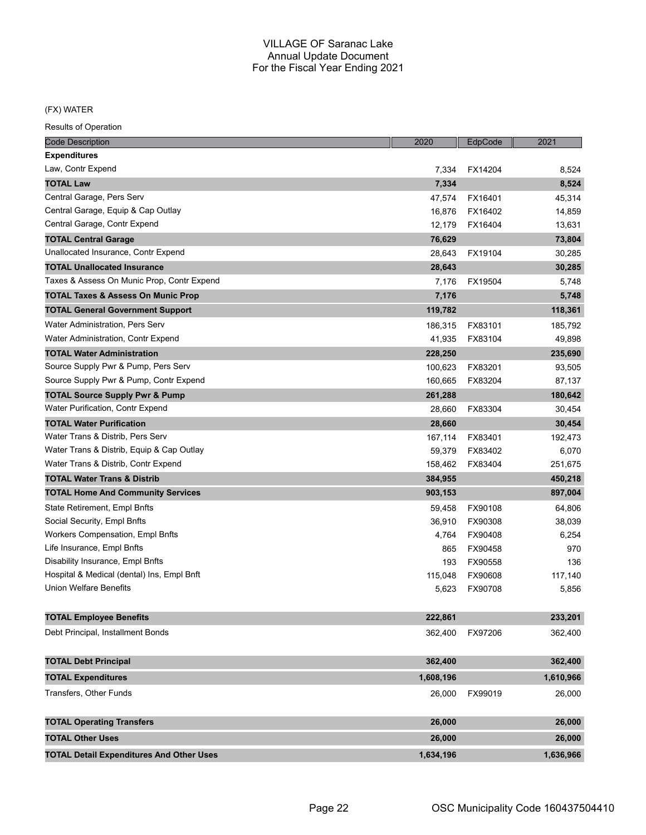## (FX) WATER

| <b>Code Description</b>                         | 2020      | EdpCode | 2021      |
|-------------------------------------------------|-----------|---------|-----------|
| <b>Expenditures</b>                             |           |         |           |
| Law, Contr Expend                               | 7,334     | FX14204 | 8,524     |
| <b>TOTAL Law</b>                                | 7,334     |         | 8,524     |
| Central Garage, Pers Serv                       | 47,574    | FX16401 | 45,314    |
| Central Garage, Equip & Cap Outlay              | 16,876    | FX16402 | 14,859    |
| Central Garage, Contr Expend                    | 12,179    | FX16404 | 13,631    |
| <b>TOTAL Central Garage</b>                     | 76,629    |         | 73,804    |
| Unallocated Insurance, Contr Expend             | 28,643    | FX19104 | 30,285    |
| <b>TOTAL Unallocated Insurance</b>              | 28,643    |         | 30,285    |
| Taxes & Assess On Munic Prop, Contr Expend      | 7,176     | FX19504 | 5,748     |
| <b>TOTAL Taxes &amp; Assess On Munic Prop</b>   | 7,176     |         | 5,748     |
| <b>TOTAL General Government Support</b>         | 119,782   |         | 118,361   |
| Water Administration, Pers Serv                 | 186,315   | FX83101 | 185,792   |
| Water Administration, Contr Expend              | 41,935    | FX83104 | 49,898    |
| <b>TOTAL Water Administration</b>               | 228,250   |         | 235,690   |
| Source Supply Pwr & Pump, Pers Serv             | 100,623   | FX83201 | 93,505    |
| Source Supply Pwr & Pump, Contr Expend          | 160,665   | FX83204 | 87,137    |
| <b>TOTAL Source Supply Pwr &amp; Pump</b>       | 261,288   |         | 180,642   |
| <b>Water Purification, Contr Expend</b>         | 28,660    | FX83304 | 30,454    |
| <b>TOTAL Water Purification</b>                 | 28,660    |         | 30,454    |
| Water Trans & Distrib, Pers Serv                | 167,114   | FX83401 | 192,473   |
| Water Trans & Distrib, Equip & Cap Outlay       | 59,379    | FX83402 | 6,070     |
| Water Trans & Distrib, Contr Expend             | 158,462   | FX83404 | 251,675   |
| <b>TOTAL Water Trans &amp; Distrib</b>          | 384,955   |         | 450,218   |
| <b>TOTAL Home And Community Services</b>        | 903,153   |         | 897,004   |
| State Retirement, Empl Bnfts                    | 59,458    | FX90108 | 64,806    |
| Social Security, Empl Bnfts                     | 36,910    | FX90308 | 38,039    |
| Workers Compensation, Empl Bnfts                | 4,764     | FX90408 | 6,254     |
| Life Insurance, Empl Bnfts                      | 865       | FX90458 | 970       |
| Disability Insurance, Empl Bnfts                | 193       | FX90558 | 136       |
| Hospital & Medical (dental) Ins, Empl Bnft      | 115,048   | FX90608 | 117,140   |
| <b>Union Welfare Benefits</b>                   | 5,623     | FX90708 | 5,856     |
| <b>TOTAL Employee Benefits</b>                  | 222,861   |         | 233,201   |
| Debt Principal, Installment Bonds               | 362,400   | FX97206 | 362,400   |
| <b>TOTAL Debt Principal</b>                     | 362,400   |         | 362,400   |
| <b>TOTAL Expenditures</b>                       | 1,608,196 |         | 1,610,966 |
| Transfers, Other Funds                          | 26,000    | FX99019 | 26,000    |
| <b>TOTAL Operating Transfers</b>                | 26,000    |         | 26,000    |
| <b>TOTAL Other Uses</b>                         | 26,000    |         | 26,000    |
| <b>TOTAL Detail Expenditures And Other Uses</b> | 1,634,196 |         | 1,636,966 |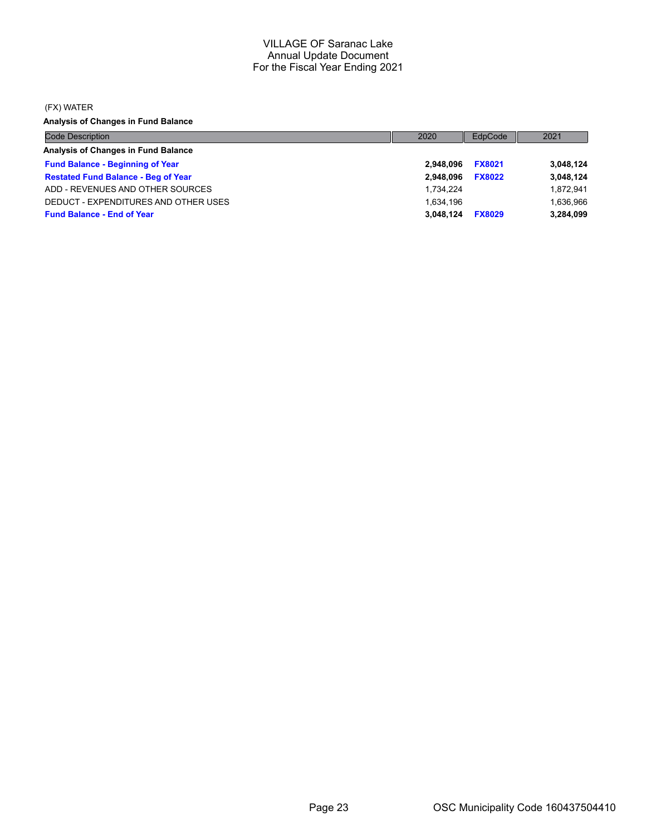#### (FX) WATER

**Analysis of Changes in Fund Balance**

| <b>Code Description</b>                    | 2020      | EdpCode       | 2021      |
|--------------------------------------------|-----------|---------------|-----------|
| Analysis of Changes in Fund Balance        |           |               |           |
| <b>Fund Balance - Beginning of Year</b>    | 2.948.096 | <b>FX8021</b> | 3,048,124 |
| <b>Restated Fund Balance - Beg of Year</b> | 2.948.096 | <b>FX8022</b> | 3,048,124 |
| ADD - REVENUES AND OTHER SOURCES           | 1.734.224 |               | 1.872.941 |
| DEDUCT - EXPENDITURES AND OTHER USES       | 1.634.196 |               | 1,636,966 |
| <b>Fund Balance - End of Year</b>          | 3.048.124 | <b>FX8029</b> | 3,284,099 |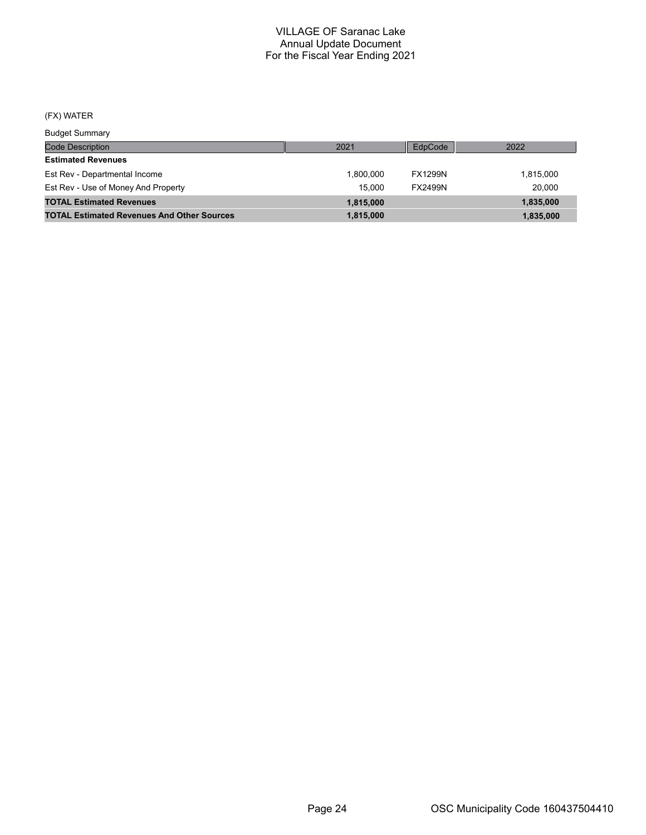#### (FX) WATER

Code Description Budget Summary 2021 EdpCode 2022 **Estimated Revenues** Est Rev - Departmental Income 1,800,000 FX1299N 1,815,000 Est Rev - Use of Money And Property **15,000** FX2499N 20,000 **TOTAL Estimated Revenues 1,815,000 1,835,000 TOTAL Estimated Revenues And Other Sources 1,815,000 1,835,000**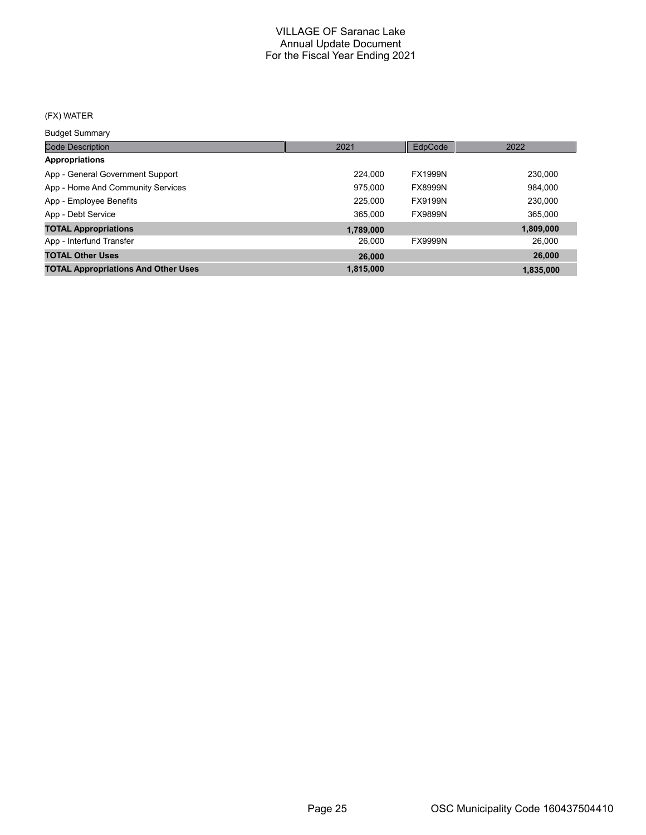## (FX) WATER

Budget Summary

| ___________                                |           |                |           |
|--------------------------------------------|-----------|----------------|-----------|
| <b>Code Description</b>                    | 2021      | EdpCode        | 2022      |
| Appropriations                             |           |                |           |
| App - General Government Support           | 224.000   | <b>FX1999N</b> | 230,000   |
| App - Home And Community Services          | 975,000   | <b>FX8999N</b> | 984,000   |
| App - Employee Benefits                    | 225,000   | <b>FX9199N</b> | 230,000   |
| App - Debt Service                         | 365,000   | <b>FX9899N</b> | 365,000   |
| <b>TOTAL Appropriations</b>                | 1,789,000 |                | 1,809,000 |
| App - Interfund Transfer                   | 26,000    | <b>FX9999N</b> | 26,000    |
| <b>TOTAL Other Uses</b>                    | 26,000    |                | 26,000    |
| <b>TOTAL Appropriations And Other Uses</b> | 1,815,000 |                | 1.835.000 |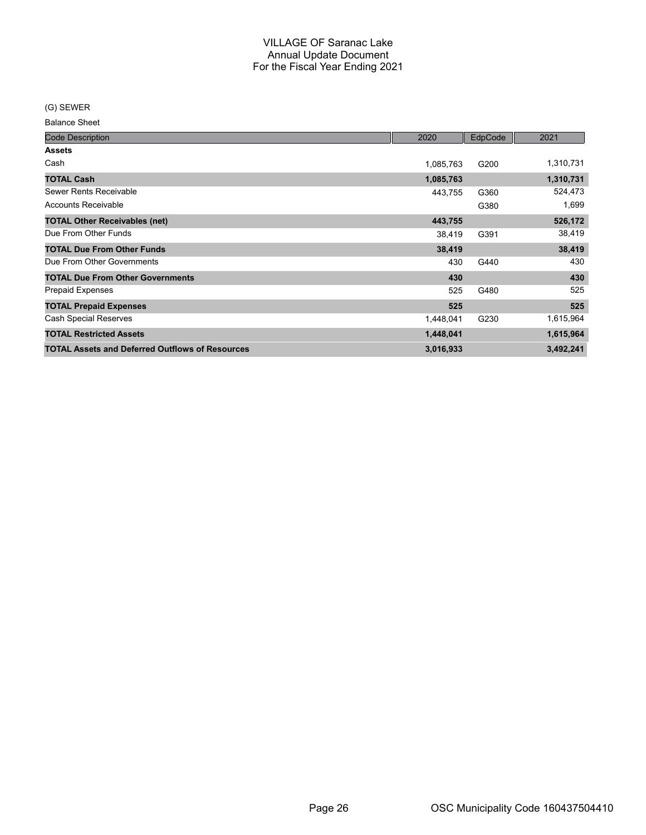(G) SEWER

Balance Sheet

| <b>Code Description</b>                                | 2020      | EdpCode | 2021      |
|--------------------------------------------------------|-----------|---------|-----------|
| <b>Assets</b>                                          |           |         |           |
| Cash                                                   | 1,085,763 | G200    | 1,310,731 |
| <b>TOTAL Cash</b>                                      | 1,085,763 |         | 1,310,731 |
| Sewer Rents Receivable                                 | 443,755   | G360    | 524,473   |
| Accounts Receivable                                    |           | G380    | 1,699     |
| <b>TOTAL Other Receivables (net)</b>                   | 443,755   |         | 526,172   |
| Due From Other Funds                                   | 38,419    | G391    | 38,419    |
| <b>TOTAL Due From Other Funds</b>                      | 38,419    |         | 38,419    |
| Due From Other Governments                             | 430       | G440    | 430       |
| <b>TOTAL Due From Other Governments</b>                | 430       |         | 430       |
| <b>Prepaid Expenses</b>                                | 525       | G480    | 525       |
| <b>TOTAL Prepaid Expenses</b>                          | 525       |         | 525       |
| Cash Special Reserves                                  | 1,448,041 | G230    | 1,615,964 |
| <b>TOTAL Restricted Assets</b>                         | 1,448,041 |         | 1,615,964 |
| <b>TOTAL Assets and Deferred Outflows of Resources</b> | 3,016,933 |         | 3,492,241 |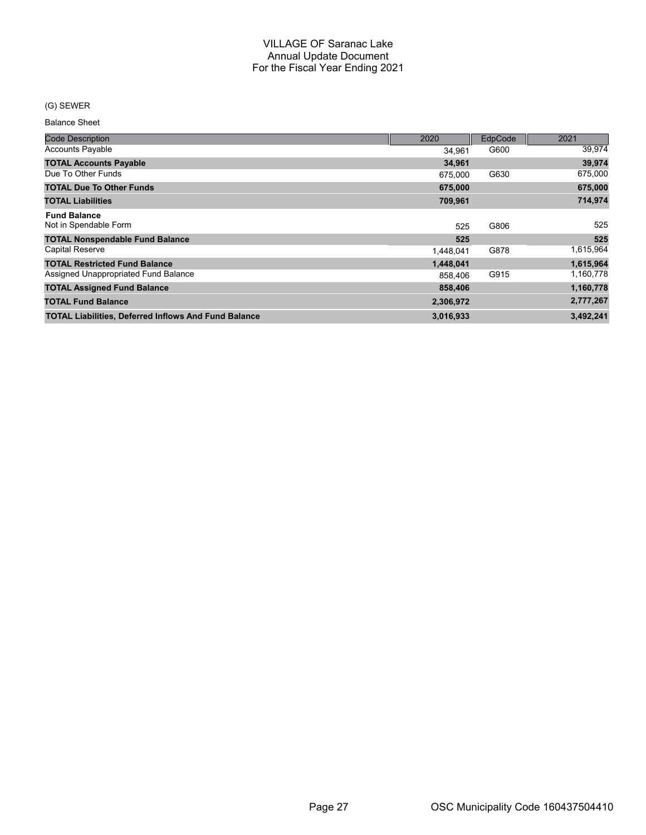#### (G) SEWER

Balance Sheet

| <b>Code Description</b>                                     | 2020      | EdpCode | 2021      |
|-------------------------------------------------------------|-----------|---------|-----------|
| <b>Accounts Payable</b>                                     | 34.961    | G600    | 39,974    |
| <b>TOTAL Accounts Payable</b>                               | 34,961    |         | 39,974    |
| Due To Other Funds                                          | 675.000   | G630    | 675,000   |
| <b>TOTAL Due To Other Funds</b>                             | 675,000   |         | 675,000   |
| <b>TOTAL Liabilities</b>                                    | 709,961   |         | 714,974   |
| <b>Fund Balance</b>                                         |           |         |           |
| Not in Spendable Form                                       | 525       | G806    | 525       |
| <b>TOTAL Nonspendable Fund Balance</b>                      | 525       |         | 525       |
| <b>Capital Reserve</b>                                      | 1,448,041 | G878    | 1,615,964 |
| <b>TOTAL Restricted Fund Balance</b>                        | 1,448,041 |         | 1,615,964 |
| Assigned Unappropriated Fund Balance                        | 858.406   | G915    | 1,160,778 |
| <b>TOTAL Assigned Fund Balance</b>                          | 858,406   |         | 1,160,778 |
| <b>TOTAL Fund Balance</b>                                   | 2,306,972 |         | 2,777,267 |
| <b>TOTAL Liabilities, Deferred Inflows And Fund Balance</b> | 3,016,933 |         | 3,492,241 |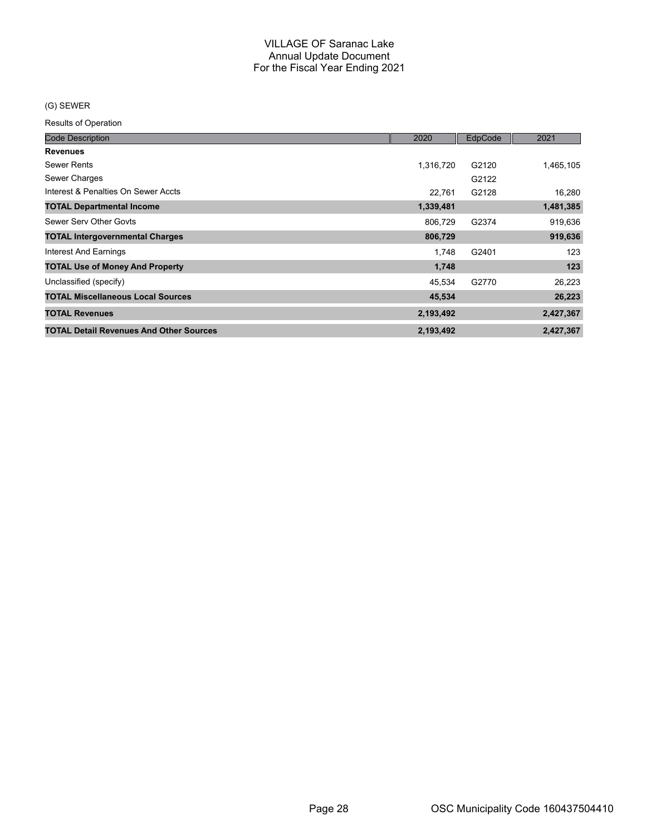## (G) SEWER

| <b>Code Description</b>                        | 2020      | EdpCode | 2021      |
|------------------------------------------------|-----------|---------|-----------|
| <b>Revenues</b>                                |           |         |           |
| Sewer Rents                                    | 1,316,720 | G2120   | 1,465,105 |
| Sewer Charges                                  |           | G2122   |           |
| Interest & Penalties On Sewer Accts            | 22,761    | G2128   | 16,280    |
| <b>TOTAL Departmental Income</b>               | 1,339,481 |         | 1,481,385 |
| Sewer Serv Other Govts                         | 806,729   | G2374   | 919,636   |
| <b>TOTAL Intergovernmental Charges</b>         | 806,729   |         | 919,636   |
| <b>Interest And Earnings</b>                   | 1.748     | G2401   | 123       |
| <b>TOTAL Use of Money And Property</b>         | 1,748     |         | 123       |
| Unclassified (specify)                         | 45,534    | G2770   | 26,223    |
| <b>TOTAL Miscellaneous Local Sources</b>       | 45,534    |         | 26,223    |
| <b>TOTAL Revenues</b>                          | 2,193,492 |         | 2,427,367 |
| <b>TOTAL Detail Revenues And Other Sources</b> | 2,193,492 |         | 2.427.367 |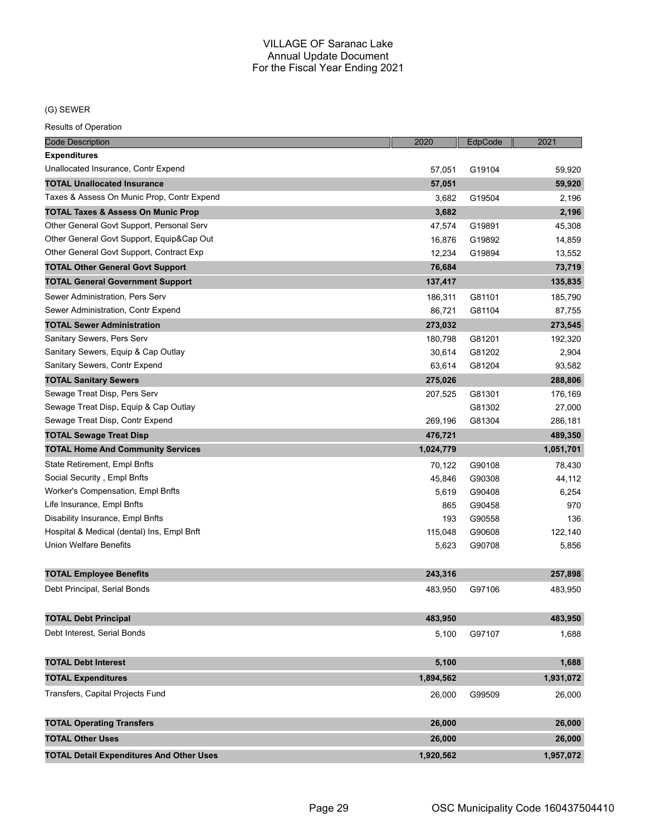## (G) SEWER

| <b>Code Description</b>                         | 2020      | EdpCode | 2021      |
|-------------------------------------------------|-----------|---------|-----------|
| <b>Expenditures</b>                             |           |         |           |
| Unallocated Insurance, Contr Expend             | 57,051    | G19104  | 59,920    |
| <b>TOTAL Unallocated Insurance</b>              | 57,051    |         | 59,920    |
| Taxes & Assess On Munic Prop, Contr Expend      | 3,682     | G19504  | 2,196     |
| TOTAL Taxes & Assess On Munic Prop              | 3,682     |         | 2,196     |
| Other General Govt Support, Personal Serv       | 47,574    | G19891  | 45,308    |
| Other General Govt Support, Equip⋒ Out          | 16,876    | G19892  | 14,859    |
| Other General Govt Support, Contract Exp        | 12,234    | G19894  | 13,552    |
| <b>TOTAL Other General Govt Support</b>         | 76,684    |         | 73,719    |
| <b>TOTAL General Government Support</b>         | 137,417   |         | 135,835   |
| Sewer Administration, Pers Serv                 | 186,311   | G81101  | 185,790   |
| Sewer Administration, Contr Expend              | 86,721    | G81104  | 87,755    |
| <b>TOTAL Sewer Administration</b>               | 273,032   |         | 273,545   |
| Sanitary Sewers, Pers Serv                      | 180,798   | G81201  | 192,320   |
| Sanitary Sewers, Equip & Cap Outlay             | 30,614    | G81202  | 2,904     |
| Sanitary Sewers, Contr Expend                   | 63,614    | G81204  | 93,582    |
| <b>TOTAL Sanitary Sewers</b>                    | 275,026   |         | 288,806   |
| Sewage Treat Disp, Pers Serv                    | 207,525   | G81301  | 176,169   |
| Sewage Treat Disp, Equip & Cap Outlay           |           | G81302  | 27,000    |
| Sewage Treat Disp, Contr Expend                 | 269,196   | G81304  | 286,181   |
| <b>TOTAL Sewage Treat Disp</b>                  | 476,721   |         | 489,350   |
| <b>TOTAL Home And Community Services</b>        | 1,024,779 |         | 1,051,701 |
| State Retirement, Empl Bnfts                    | 70,122    | G90108  | 78,430    |
| Social Security, Empl Bnfts                     | 45,846    | G90308  | 44,112    |
| Worker's Compensation, Empl Bnfts               | 5,619     | G90408  | 6,254     |
| Life Insurance, Empl Bnfts                      | 865       | G90458  | 970       |
| Disability Insurance, Empl Bnfts                | 193       | G90558  | 136       |
| Hospital & Medical (dental) Ins, Empl Bnft      | 115,048   | G90608  | 122,140   |
| <b>Union Welfare Benefits</b>                   | 5,623     | G90708  | 5,856     |
|                                                 |           |         |           |
| <b>TOTAL Employee Benefits</b>                  | 243,316   |         | 257,898   |
| Debt Principal, Serial Bonds                    | 483,950   | G97106  | 483,950   |
|                                                 |           |         |           |
| <b>TOTAL Debt Principal</b>                     | 483,950   |         | 483,950   |
| Debt Interest, Serial Bonds                     | 5,100     | G97107  | 1,688     |
|                                                 |           |         |           |
| <b>TOTAL Debt Interest</b>                      | 5,100     |         | 1,688     |
| <b>TOTAL Expenditures</b>                       | 1,894,562 |         | 1,931,072 |
| Transfers, Capital Projects Fund                | 26,000    | G99509  | 26,000    |
|                                                 |           |         |           |
| <b>TOTAL Operating Transfers</b>                | 26,000    |         | 26,000    |
| <b>TOTAL Other Uses</b>                         | 26,000    |         | 26,000    |
| <b>TOTAL Detail Expenditures And Other Uses</b> | 1,920,562 |         | 1,957,072 |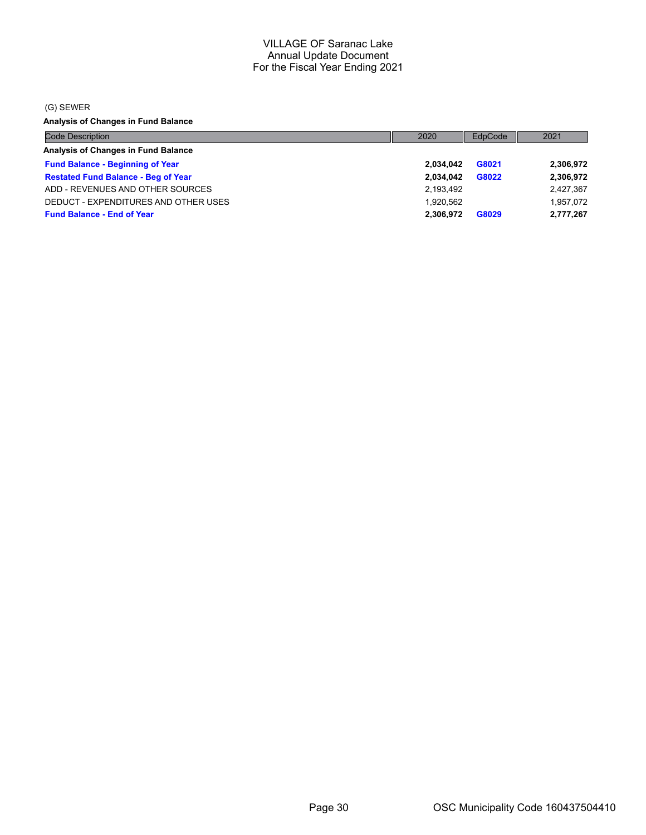(G) SEWER

**Analysis of Changes in Fund Balance**

| <b>Code Description</b>                    | 2020      | EdpCode | 2021      |
|--------------------------------------------|-----------|---------|-----------|
| Analysis of Changes in Fund Balance        |           |         |           |
| <b>Fund Balance - Beginning of Year</b>    | 2.034.042 | G8021   | 2,306,972 |
| <b>Restated Fund Balance - Beg of Year</b> | 2.034.042 | G8022   | 2,306,972 |
| ADD - REVENUES AND OTHER SOURCES           | 2,193,492 |         | 2,427,367 |
| DEDUCT - EXPENDITURES AND OTHER USES       | 1.920.562 |         | 1.957.072 |
| <b>Fund Balance - End of Year</b>          | 2.306.972 | G8029   | 2,777,267 |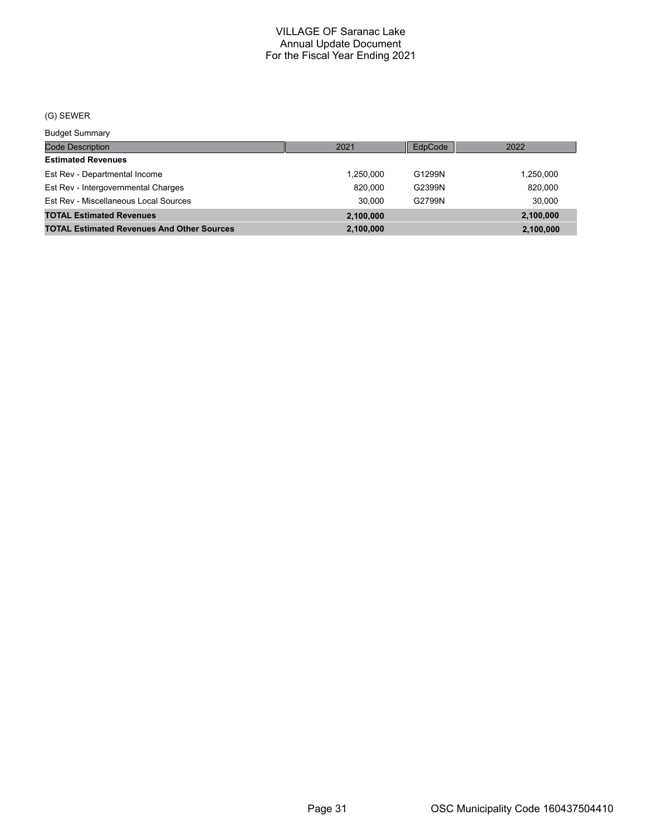## (G) SEWER

Budget Summary

| Duuyot Ouriniury                                  |           |         |           |
|---------------------------------------------------|-----------|---------|-----------|
| Code Description                                  | 2021      | EdpCode | 2022      |
| <b>Estimated Revenues</b>                         |           |         |           |
| Est Rev - Departmental Income                     | 1.250.000 | G1299N  | 1,250,000 |
| Est Rev - Intergovernmental Charges               | 820.000   | G2399N  | 820,000   |
| Est Rev - Miscellaneous Local Sources             | 30.000    | G2799N  | 30.000    |
| <b>TOTAL Estimated Revenues</b>                   | 2,100,000 |         | 2,100,000 |
| <b>TOTAL Estimated Revenues And Other Sources</b> | 2,100,000 |         | 2,100,000 |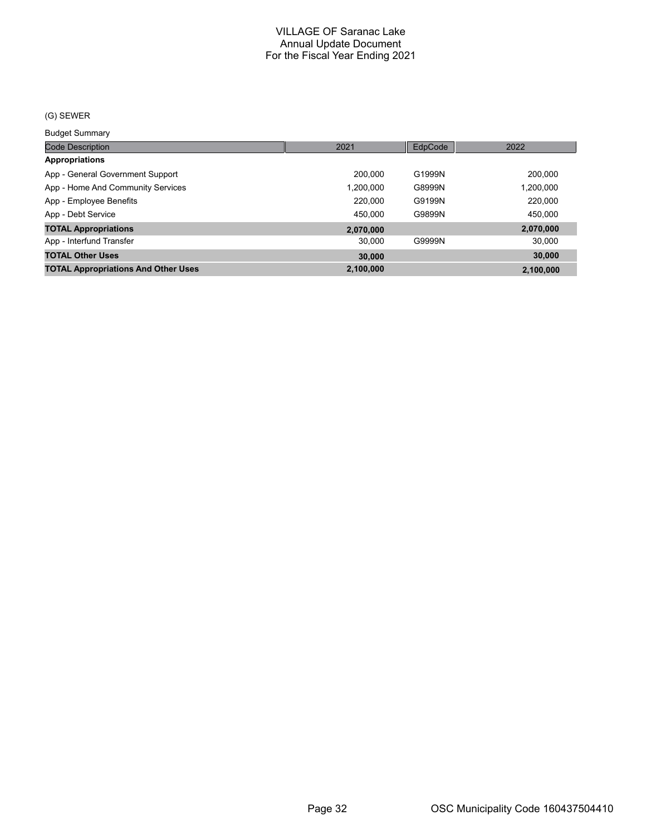#### (G) SEWER

Budget Summary

| ___________                                |           |         |           |
|--------------------------------------------|-----------|---------|-----------|
| <b>Code Description</b>                    | 2021      | EdpCode | 2022      |
| <b>Appropriations</b>                      |           |         |           |
| App - General Government Support           | 200.000   | G1999N  | 200,000   |
| App - Home And Community Services          | 1,200,000 | G8999N  | 1,200,000 |
| App - Employee Benefits                    | 220,000   | G9199N  | 220.000   |
| App - Debt Service                         | 450,000   | G9899N  | 450.000   |
| <b>TOTAL Appropriations</b>                | 2,070,000 |         | 2,070,000 |
| App - Interfund Transfer                   | 30.000    | G9999N  | 30,000    |
| <b>TOTAL Other Uses</b>                    | 30,000    |         | 30,000    |
| <b>TOTAL Appropriations And Other Uses</b> | 2,100,000 |         | 2.100.000 |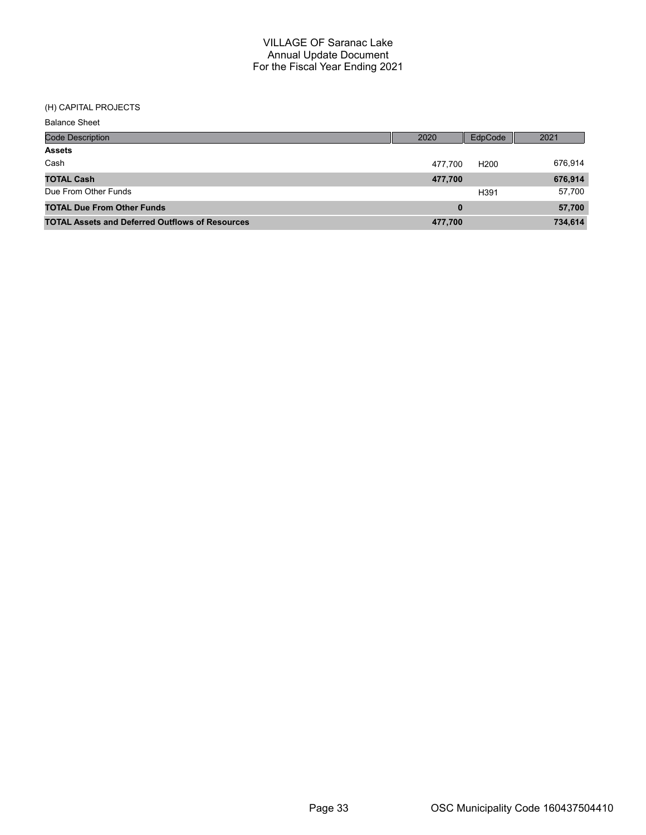#### (H) CAPITAL PROJECTS

| <b>Balance Sheet</b>                                   |         |                  |         |
|--------------------------------------------------------|---------|------------------|---------|
| <b>Code Description</b>                                | 2020    | EdpCode          | 2021    |
| <b>Assets</b>                                          |         |                  |         |
| Cash                                                   | 477.700 | H <sub>200</sub> | 676,914 |
| <b>TOTAL Cash</b>                                      | 477,700 |                  | 676,914 |
| Due From Other Funds                                   |         | H391             | 57,700  |
| <b>TOTAL Due From Other Funds</b>                      | 0       |                  | 57,700  |
| <b>TOTAL Assets and Deferred Outflows of Resources</b> | 477,700 |                  | 734,614 |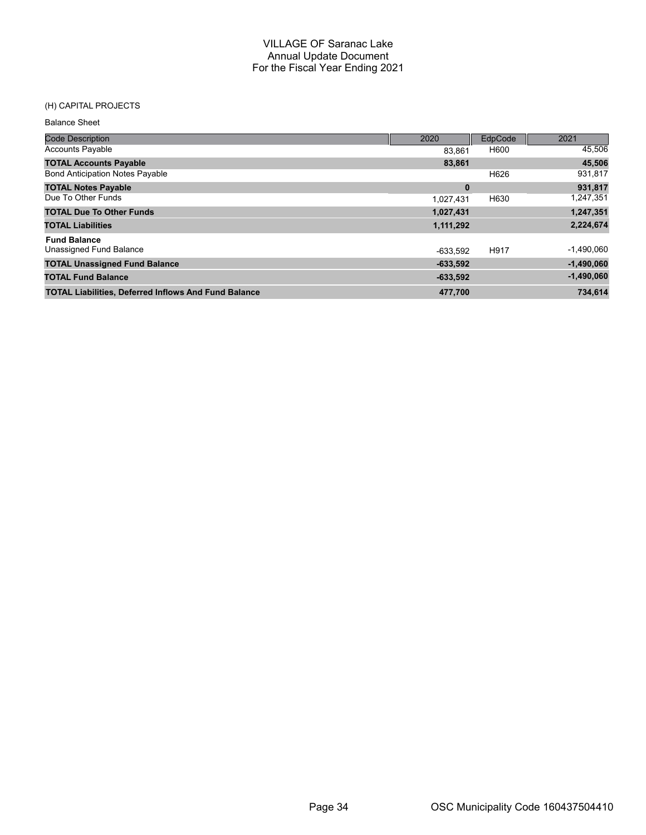## (H) CAPITAL PROJECTS

| <b>Code Description</b>                                     | 2020       | <b>EdpCode</b> | 2021         |
|-------------------------------------------------------------|------------|----------------|--------------|
| <b>Accounts Payable</b>                                     | 83.861     | H600           | 45,506       |
| <b>TOTAL Accounts Payable</b>                               | 83,861     |                | 45,506       |
| <b>Bond Anticipation Notes Payable</b>                      |            | H626           | 931,817      |
| <b>TOTAL Notes Payable</b>                                  | $\bf{0}$   |                | 931,817      |
| Due To Other Funds                                          | 1,027,431  | H630           | 1,247,351    |
| <b>TOTAL Due To Other Funds</b>                             | 1,027,431  |                | 1,247,351    |
| <b>TOTAL Liabilities</b>                                    | 1,111,292  |                | 2,224,674    |
| <b>Fund Balance</b>                                         |            |                |              |
| Unassigned Fund Balance                                     | -633.592   | H917           | $-1,490,060$ |
| <b>TOTAL Unassigned Fund Balance</b>                        | $-633.592$ |                | $-1,490,060$ |
| <b>TOTAL Fund Balance</b>                                   | $-633,592$ |                | $-1,490,060$ |
| <b>TOTAL Liabilities, Deferred Inflows And Fund Balance</b> | 477,700    |                | 734.614      |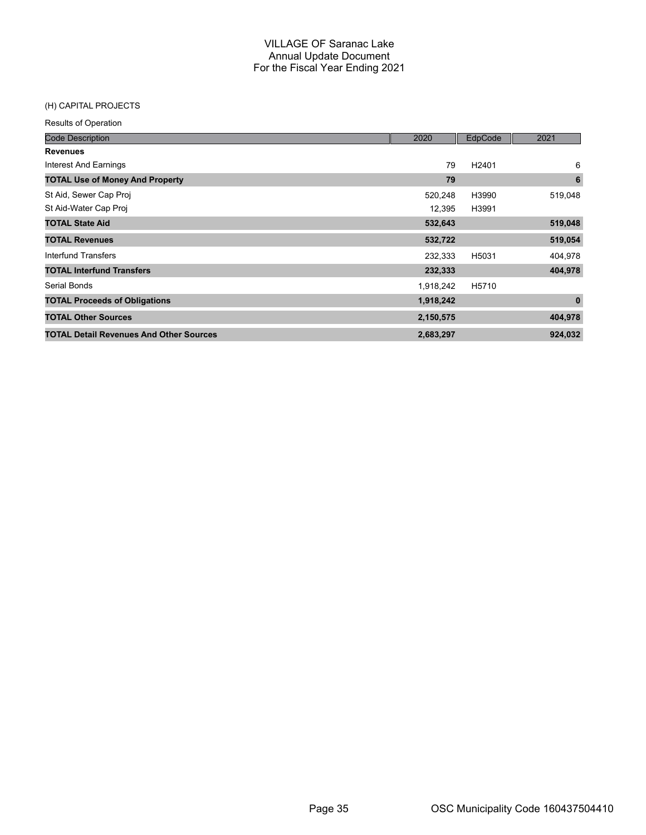#### (H) CAPITAL PROJECTS

| <b>Code Description</b>                        | 2020      | EdpCode           | 2021     |
|------------------------------------------------|-----------|-------------------|----------|
| <b>Revenues</b>                                |           |                   |          |
| <b>Interest And Earnings</b>                   | 79        | H <sub>2401</sub> | 6        |
| <b>TOTAL Use of Money And Property</b>         | 79        |                   | 6        |
| St Aid, Sewer Cap Proj                         | 520,248   | H3990             | 519,048  |
| St Aid-Water Cap Proj                          | 12,395    | H3991             |          |
| <b>TOTAL State Aid</b>                         | 532,643   |                   | 519,048  |
| <b>TOTAL Revenues</b>                          | 532,722   |                   | 519,054  |
| <b>Interfund Transfers</b>                     | 232,333   | H5031             | 404,978  |
| <b>TOTAL Interfund Transfers</b>               | 232,333   |                   | 404,978  |
| Serial Bonds                                   | 1,918,242 | H5710             |          |
| <b>TOTAL Proceeds of Obligations</b>           | 1,918,242 |                   | $\bf{0}$ |
| <b>TOTAL Other Sources</b>                     | 2,150,575 |                   | 404,978  |
| <b>TOTAL Detail Revenues And Other Sources</b> | 2,683,297 |                   | 924,032  |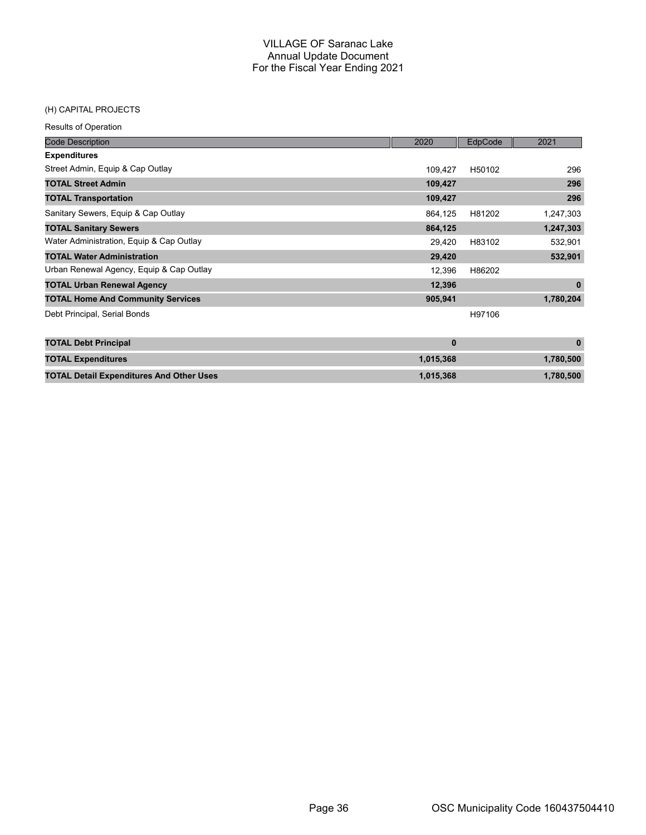## (H) CAPITAL PROJECTS

| <b>Code Description</b>                  | 2020    | EdpCode | 2021      |
|------------------------------------------|---------|---------|-----------|
| <b>Expenditures</b>                      |         |         |           |
| Street Admin, Equip & Cap Outlay         | 109.427 | H50102  | 296       |
| <b>TOTAL Street Admin</b>                | 109,427 |         | 296       |
| <b>TOTAL Transportation</b>              | 109,427 |         | 296       |
| Sanitary Sewers, Equip & Cap Outlay      | 864.125 | H81202  | 1,247,303 |
| <b>TOTAL Sanitary Sewers</b>             | 864,125 |         | 1,247,303 |
| Water Administration, Equip & Cap Outlay | 29.420  | H83102  | 532,901   |
| <b>TOTAL Water Administration</b>        | 29,420  |         | 532,901   |
| Urban Renewal Agency, Equip & Cap Outlay | 12,396  | H86202  |           |
| <b>TOTAL Urban Renewal Agency</b>        | 12,396  |         | $\bf{0}$  |
| <b>TOTAL Home And Community Services</b> | 905,941 |         | 1,780,204 |
| Debt Principal, Serial Bonds             |         | H97106  |           |

| <b>TOTAL Debt Principal</b>                     |           |           |
|-------------------------------------------------|-----------|-----------|
| <b>TOTAL Expenditures</b>                       | 1.015.368 | 1.780.500 |
| <b>TOTAL Detail Expenditures And Other Uses</b> | 1.015.368 | 1.780.500 |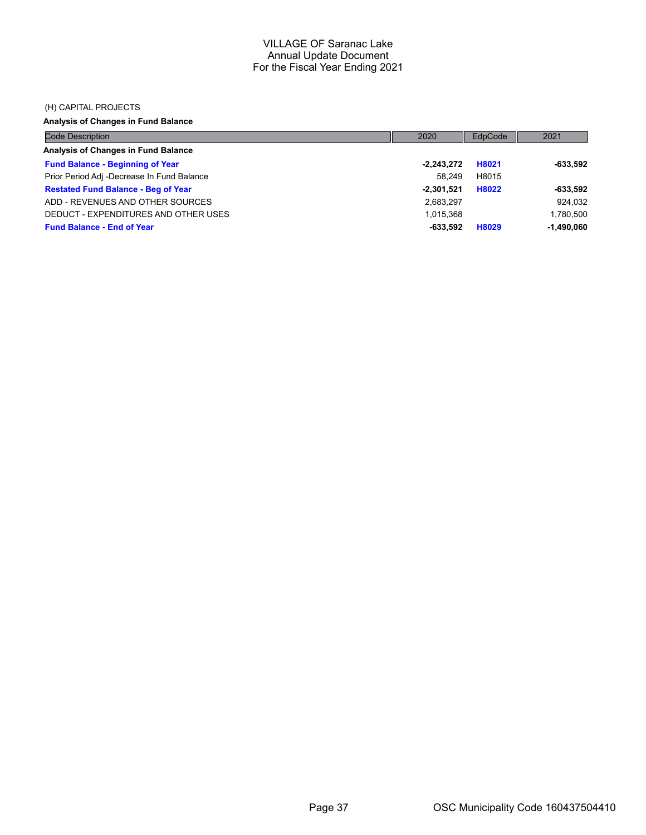#### (H) CAPITAL PROJECTS

# **Analysis of Changes in Fund Balance**

| <b>Code Description</b>                    | 2020         | EdpCode | 2021         |
|--------------------------------------------|--------------|---------|--------------|
| Analysis of Changes in Fund Balance        |              |         |              |
| <b>Fund Balance - Beginning of Year</b>    | $-2,243,272$ | H8021   | $-633.592$   |
| Prior Period Adj -Decrease In Fund Balance | 58.249       | H8015   |              |
| <b>Restated Fund Balance - Beg of Year</b> | $-2.301.521$ | H8022   | $-633.592$   |
| ADD - REVENUES AND OTHER SOURCES           | 2,683,297    |         | 924,032      |
| DEDUCT - EXPENDITURES AND OTHER USES       | 1.015.368    |         | 1,780,500    |
| <b>Fund Balance - End of Year</b>          | -633.592     | H8029   | $-1,490,060$ |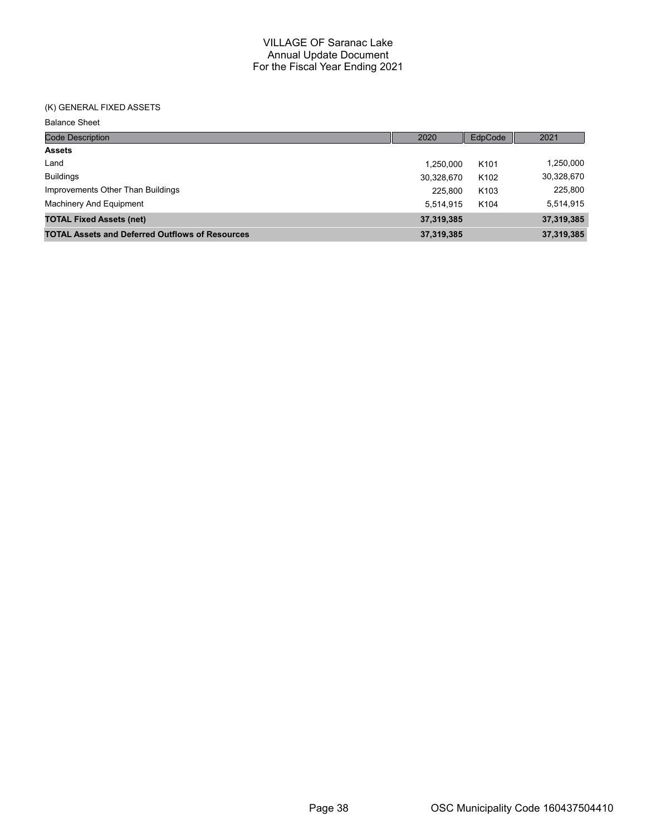#### (K) GENERAL FIXED ASSETS

Balance Sheet

| <b>Code Description</b>                                | 2020       | EdpCode          | 2021       |
|--------------------------------------------------------|------------|------------------|------------|
| <b>Assets</b>                                          |            |                  |            |
| Land                                                   | 1.250.000  | K <sub>101</sub> | 1,250,000  |
| <b>Buildings</b>                                       | 30,328,670 | K <sub>102</sub> | 30,328,670 |
| Improvements Other Than Buildings                      | 225.800    | K <sub>103</sub> | 225,800    |
| Machinery And Equipment                                | 5.514.915  | K <sub>104</sub> | 5,514,915  |
| <b>TOTAL Fixed Assets (net)</b>                        | 37,319,385 |                  | 37,319,385 |
| <b>TOTAL Assets and Deferred Outflows of Resources</b> | 37,319,385 |                  | 37,319,385 |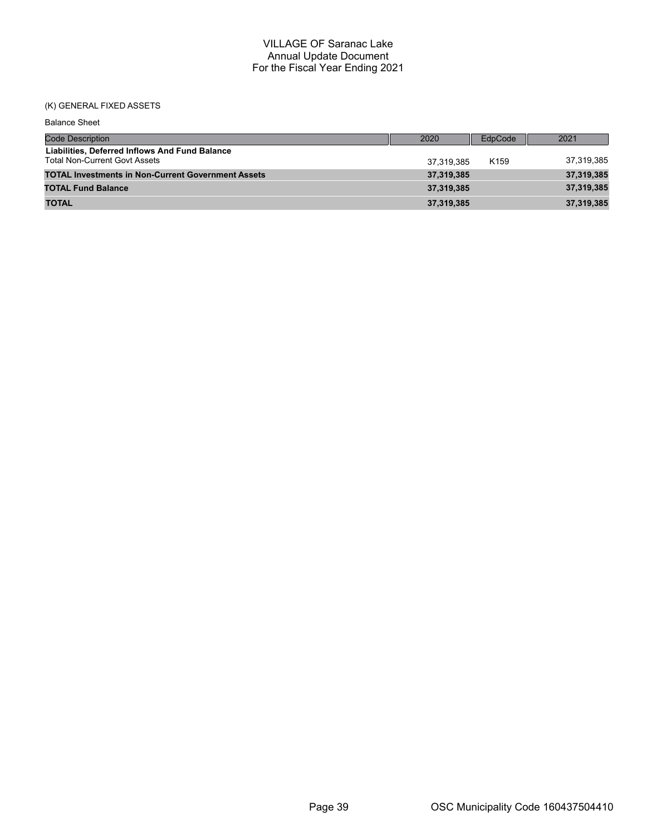# (K) GENERAL FIXED ASSETS

| <b>Balance Sheet</b>                                                                   |            |                  |            |
|----------------------------------------------------------------------------------------|------------|------------------|------------|
| <b>Code Description</b>                                                                | 2020       | EdpCode          | 2021       |
| Liabilities, Deferred Inflows And Fund Balance<br><b>Total Non-Current Govt Assets</b> | 37.319.385 | K <sub>159</sub> | 37,319,385 |
| <b>TOTAL Investments in Non-Current Government Assets</b>                              | 37,319,385 |                  | 37,319,385 |
| <b>TOTAL Fund Balance</b>                                                              | 37,319,385 |                  | 37,319,385 |
| <b>TOTAL</b>                                                                           | 37,319,385 |                  | 37,319,385 |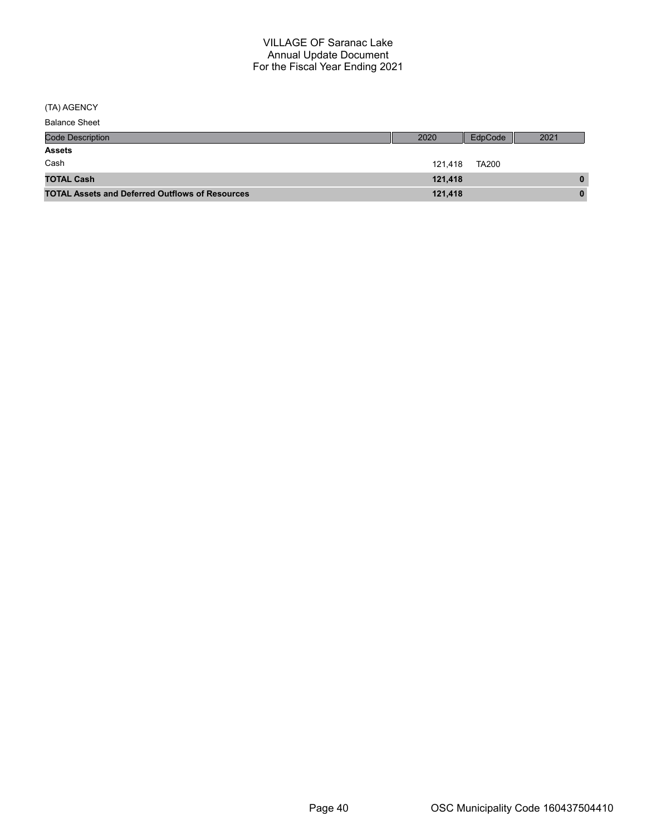(TA) AGENCY

| <b>Balance Sheet</b>                                   |         |              |          |
|--------------------------------------------------------|---------|--------------|----------|
| <b>Code Description</b>                                | 2020    | EdpCode      | 2021     |
| <b>Assets</b>                                          |         |              |          |
| Cash                                                   | 121.418 | <b>TA200</b> |          |
| <b>TOTAL Cash</b>                                      | 121,418 |              | $\bf{0}$ |
| <b>TOTAL Assets and Deferred Outflows of Resources</b> | 121,418 |              | $\bf{0}$ |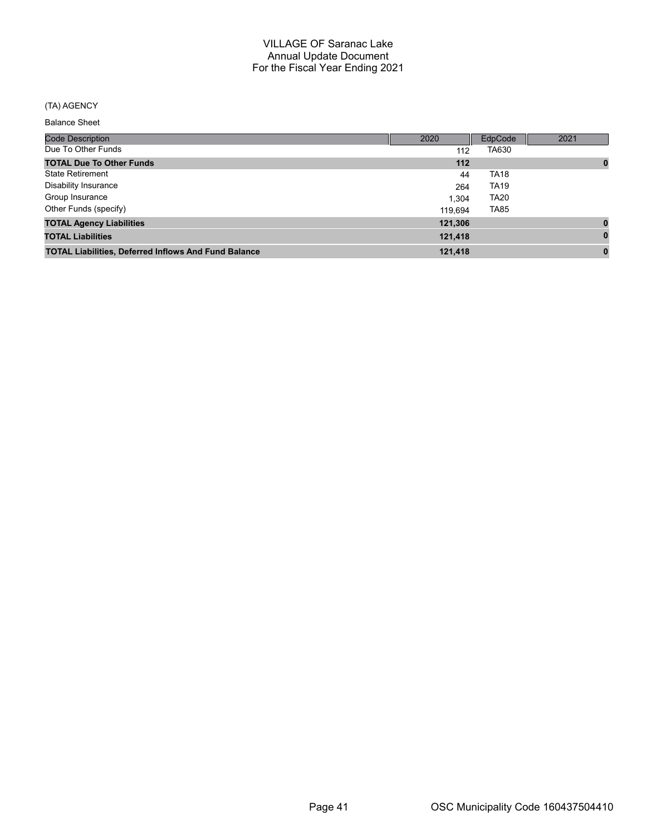# (TA) AGENCY

#### Balance Sheet

| <b>Code Description</b>                                     | 2020    | <b>EdpCode</b> | 2021     |
|-------------------------------------------------------------|---------|----------------|----------|
| Due To Other Funds                                          | 112     | TA630          |          |
| <b>TOTAL Due To Other Funds</b>                             | $112$   |                | $\bf{0}$ |
| <b>State Retirement</b>                                     | 44      | <b>TA18</b>    |          |
| Disability Insurance                                        | 264     | <b>TA19</b>    |          |
| Group Insurance                                             | 1.304   | <b>TA20</b>    |          |
| Other Funds (specify)                                       | 119.694 | <b>TA85</b>    |          |
| <b>TOTAL Agency Liabilities</b>                             | 121,306 |                | $\bf{0}$ |
| <b>TOTAL Liabilities</b>                                    | 121,418 |                | $\bf{0}$ |
| <b>TOTAL Liabilities, Deferred Inflows And Fund Balance</b> | 121,418 |                | 0        |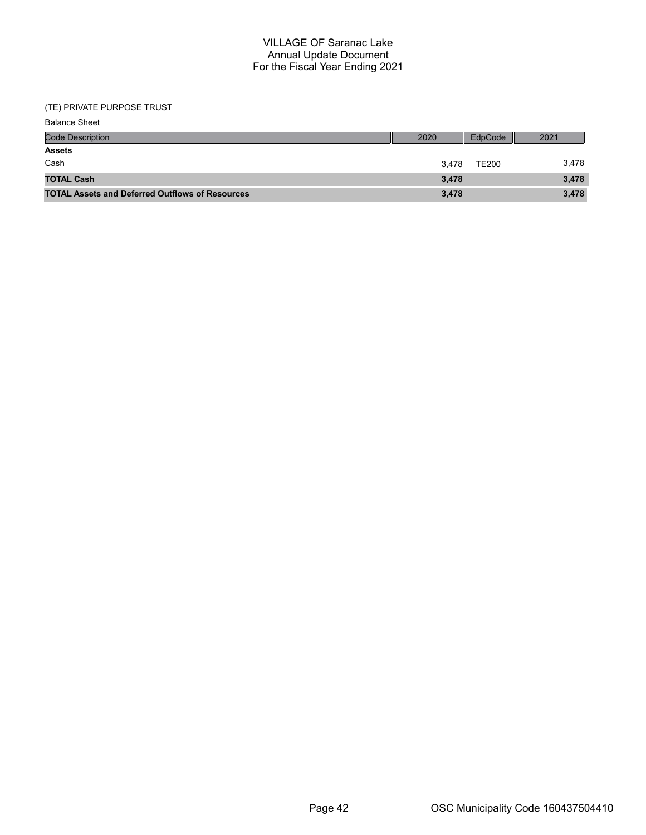#### (TE) PRIVATE PURPOSE TRUST

| <b>Balance Sheet</b>                                   |       |              |       |
|--------------------------------------------------------|-------|--------------|-------|
| <b>Code Description</b>                                | 2020  | EdpCode      | 2021  |
| <b>Assets</b>                                          |       |              |       |
| Cash                                                   | 3.478 | <b>TE200</b> | 3,478 |
| <b>TOTAL Cash</b>                                      | 3,478 |              | 3,478 |
| <b>TOTAL Assets and Deferred Outflows of Resources</b> | 3,478 |              | 3,478 |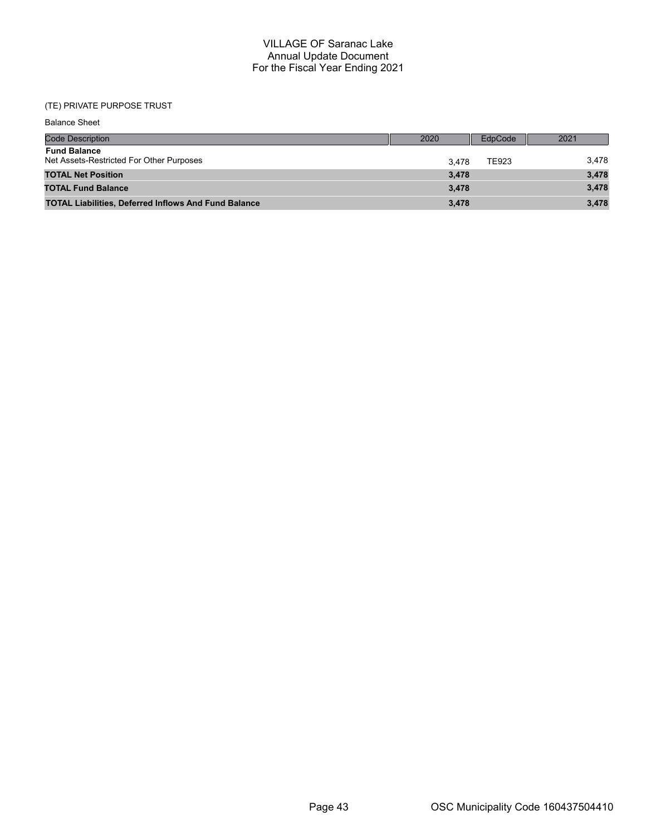# (TE) PRIVATE PURPOSE TRUST

| <b>Balance Sheet</b>                                            |       |         |       |
|-----------------------------------------------------------------|-------|---------|-------|
| <b>Code Description</b>                                         | 2020  | EdpCode | 2021  |
| <b>Fund Balance</b><br>Net Assets-Restricted For Other Purposes | 3.478 | TE923   | 3,478 |
| <b>TOTAL Net Position</b>                                       | 3,478 |         | 3,478 |
| <b>TOTAL Fund Balance</b>                                       | 3,478 |         | 3,478 |
| <b>TOTAL Liabilities, Deferred Inflows And Fund Balance</b>     | 3,478 |         | 3,478 |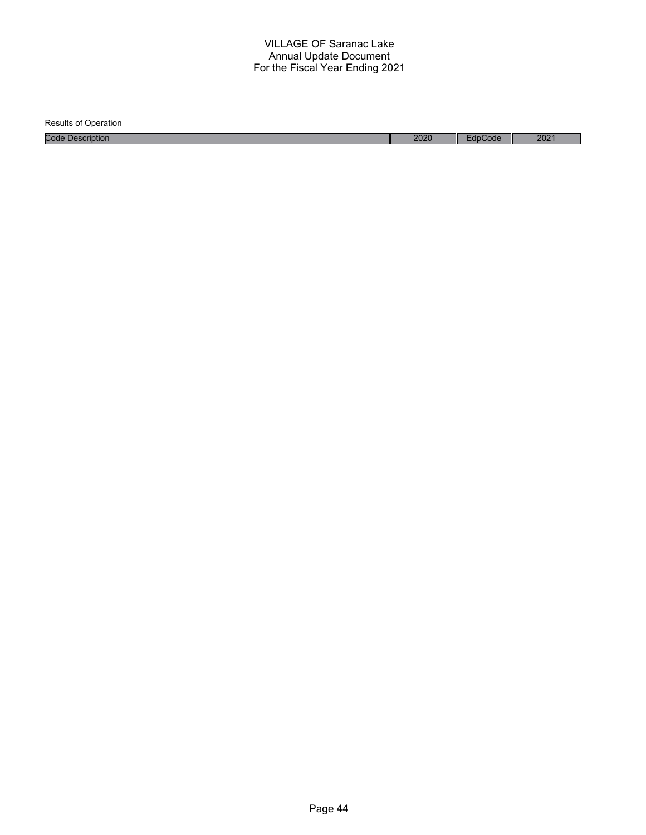Results of Operation Code Description 2021 2021 2020 Reserve the Code 2020 Reserve the Code 2021 2020 Reserve the 2021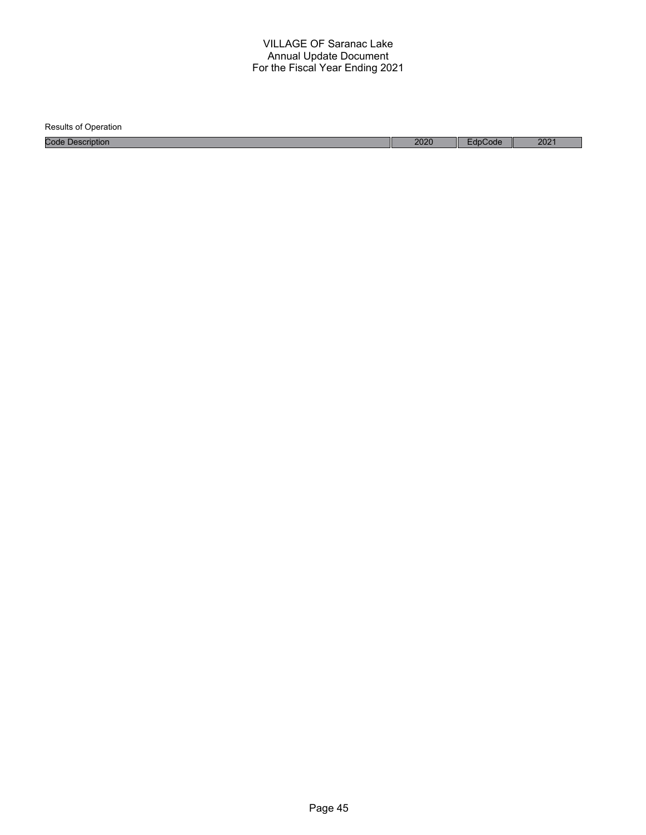| <b>Results of Operation</b> |      |         |                  |
|-----------------------------|------|---------|------------------|
| <b>Code Description</b>     | 2020 | EdpCode | 202 <sup>7</sup> |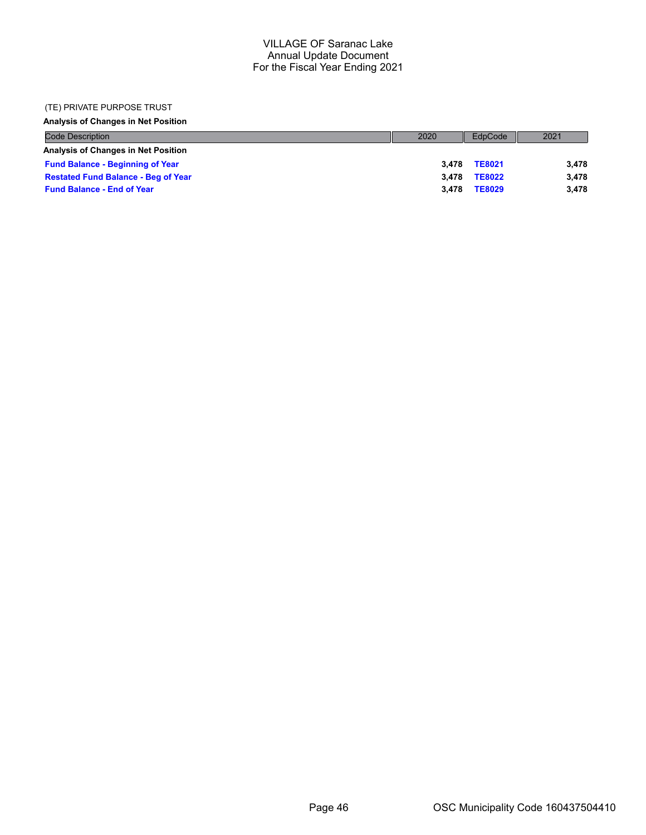#### (TE) PRIVATE PURPOSE TRUST

#### **Analysis of Changes in Net Position**

| <b>Code Description</b>                    | 2020 | EdpCode                | 2021  |
|--------------------------------------------|------|------------------------|-------|
| Analysis of Changes in Net Position        |      |                        |       |
| <b>Fund Balance - Beginning of Year</b>    |      | <b>TE8021</b><br>3.478 | 3.478 |
| <b>Restated Fund Balance - Beg of Year</b> |      | <b>TE8022</b><br>3.478 | 3.478 |
| <b>Fund Balance - End of Year</b>          |      | 3.478<br><b>TE8029</b> | 3.478 |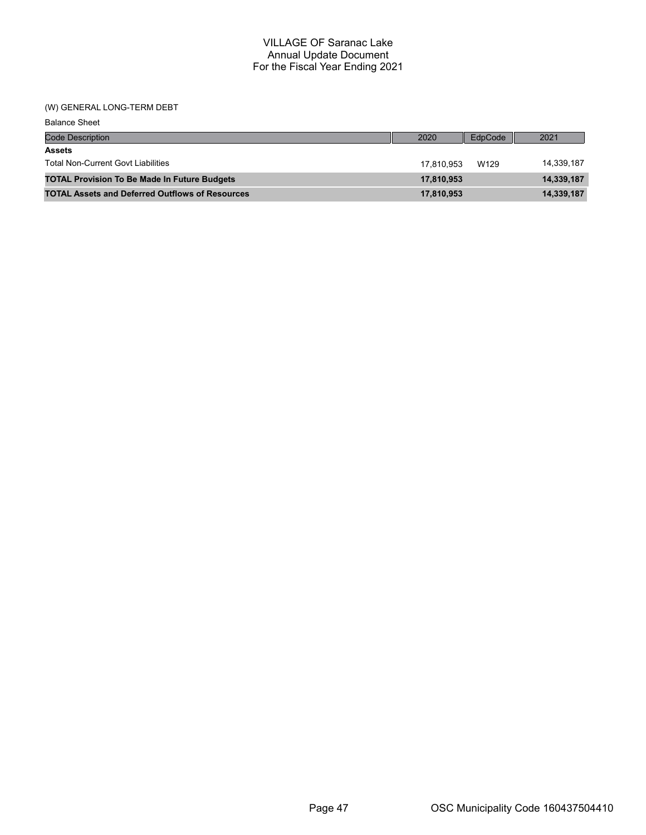#### (W) GENERAL LONG-TERM DEBT

| <b>Balance Sheet</b>                                   |            |         |            |
|--------------------------------------------------------|------------|---------|------------|
| <b>Code Description</b>                                | 2020       | EdpCode | 2021       |
| <b>Assets</b>                                          |            |         |            |
| <b>Total Non-Current Govt Liabilities</b>              | 17.810.953 | W129    | 14,339,187 |
| <b>TOTAL Provision To Be Made In Future Budgets</b>    | 17,810,953 |         | 14,339,187 |
| <b>TOTAL Assets and Deferred Outflows of Resources</b> | 17,810,953 |         | 14,339,187 |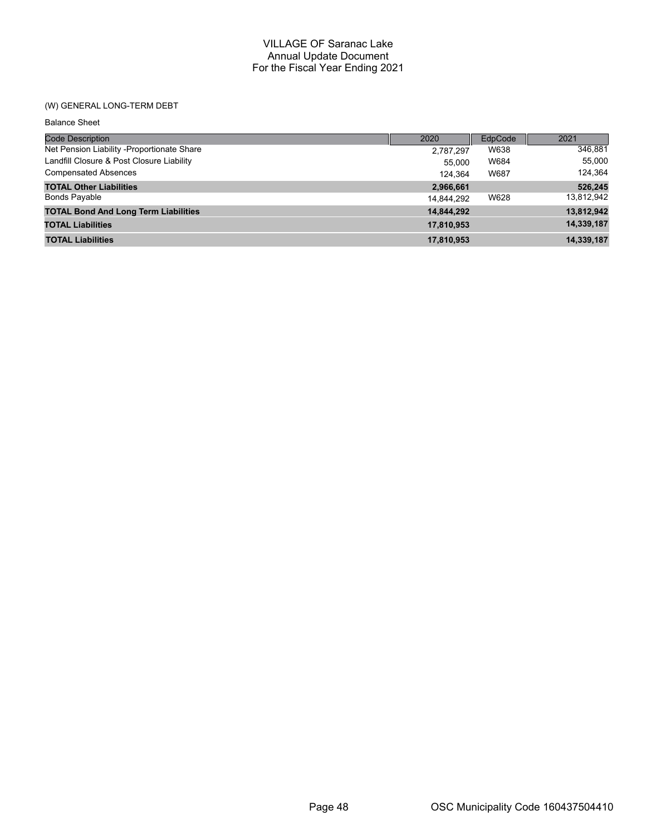# (W) GENERAL LONG-TERM DEBT

| <b>Balance Sheet</b>                        |            |         |            |
|---------------------------------------------|------------|---------|------------|
| Code Description                            | 2020       | EdpCode | 2021       |
| Net Pension Liability - Proportionate Share | 2,787,297  | W638    | 346,881    |
| Landfill Closure & Post Closure Liability   | 55.000     | W684    | 55,000     |
| <b>Compensated Absences</b>                 | 124.364    | W687    | 124,364    |
| <b>TOTAL Other Liabilities</b>              | 2,966,661  |         | 526,245    |
| <b>Bonds Payable</b>                        | 14.844.292 | W628    | 13,812,942 |
| <b>TOTAL Bond And Long Term Liabilities</b> | 14,844,292 |         | 13,812,942 |
| <b>TOTAL Liabilities</b>                    | 17,810,953 |         | 14,339,187 |
| <b>TOTAL Liabilities</b>                    | 17,810,953 |         | 14,339,187 |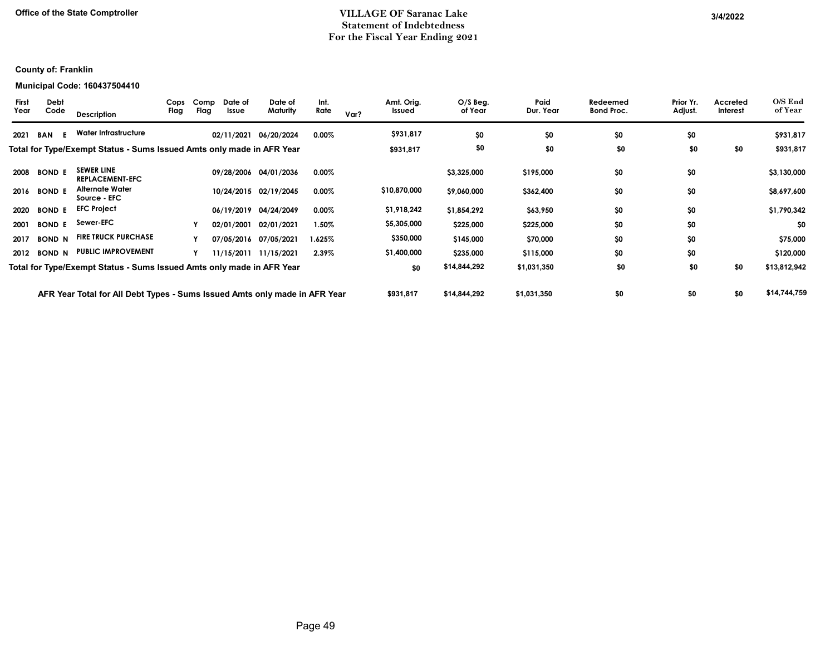## **Office of the State Comptroller VILLAGE OF Saranac Lake 3/4/2022Statement of Indebtedness For the Fiscal Year Ending 2021**

# **County of: Franklin**

#### **Municipal Code: 160437504410**

| <b>First</b><br>Year | Debt<br>Code  | Description                                                                | Cops<br>Flag | Comp<br>Flag | Date of<br>Issue | Date of<br>Maturity   | Int.<br>Rate | Var? | Amt. Orig.<br>Issued | $O/S$ Beg.<br>of Year | Paid<br>Dur. Year | Redeemed<br><b>Bond Proc.</b> | Prior Yr.<br>Adjust. | Accreted<br>Interest | $O/S$ End<br>of Year |
|----------------------|---------------|----------------------------------------------------------------------------|--------------|--------------|------------------|-----------------------|--------------|------|----------------------|-----------------------|-------------------|-------------------------------|----------------------|----------------------|----------------------|
| 2021                 | BAN<br>E.     | Water Infrastructure                                                       |              |              | 02/11/2021       | 06/20/2024            | $0.00\%$     |      | \$931,817            | \$0                   | \$0               | \$0                           | \$0                  |                      | \$931,817            |
|                      |               | Total for Type/Exempt Status - Sums Issued Amts only made in AFR Year      |              |              |                  |                       |              |      | \$931,817            | \$0                   | \$0               | \$0                           | \$0                  | \$0                  | \$931,817            |
| 2008                 | <b>BOND E</b> | <b>SEWER LINE</b><br><b>REPLACEMENT-EFC</b>                                |              |              |                  | 09/28/2006 04/01/2036 | 0.00%        |      |                      | \$3,325,000           | \$195,000         | \$0                           | \$0                  |                      | \$3,130,000          |
| 2016                 | <b>BOND E</b> | <b>Alternate Water</b><br>Source - EFC                                     |              |              |                  | 10/24/2015 02/19/2045 | $0.00\%$     |      | \$10,870,000         | \$9,060,000           | \$362,400         | \$0                           | \$0                  |                      | \$8,697,600          |
| 2020                 | <b>BOND E</b> | <b>EFC Project</b>                                                         |              |              | 06/19/2019       | 04/24/2049            | $0.00\%$     |      | \$1,918,242          | \$1,854,292           | \$63,950          | \$0                           | \$0                  |                      | \$1,790,342          |
| 2001                 | <b>BOND E</b> | Sewer-EFC                                                                  |              |              | 02/01/2001       | 02/01/2021            | $1.50\%$     |      | \$5,305,000          | \$225,000             | \$225,000         | \$0                           | \$0                  |                      | \$0                  |
| 2017                 | <b>BOND N</b> | <b>FIRE TRUCK PURCHASE</b>                                                 |              |              |                  | 07/05/2016 07/05/2021 | 1.625%       |      | \$350,000            | \$145,000             | \$70,000          | \$0                           | \$0                  |                      | \$75,000             |
|                      | 2012 BOND N   | <b>PUBLIC IMPROVEMENT</b>                                                  |              |              |                  | 11/15/2011 11/15/2021 | 2.39%        |      | \$1,400,000          | \$235,000             | \$115,000         | \$0                           | \$0                  |                      | \$120,000            |
|                      |               | Total for Type/Exempt Status - Sums Issued Amts only made in AFR Year      |              |              |                  |                       |              |      | \$0                  | \$14,844,292          | \$1,031,350       | \$0                           | \$0                  | \$0                  | \$13,812,942         |
|                      |               | AFR Year Total for All Debt Types - Sums Issued Amts only made in AFR Year |              |              |                  |                       |              |      | \$931,817            | \$14,844,292          | \$1,031,350       | \$0                           | \$0                  | \$0                  | \$14,744,759         |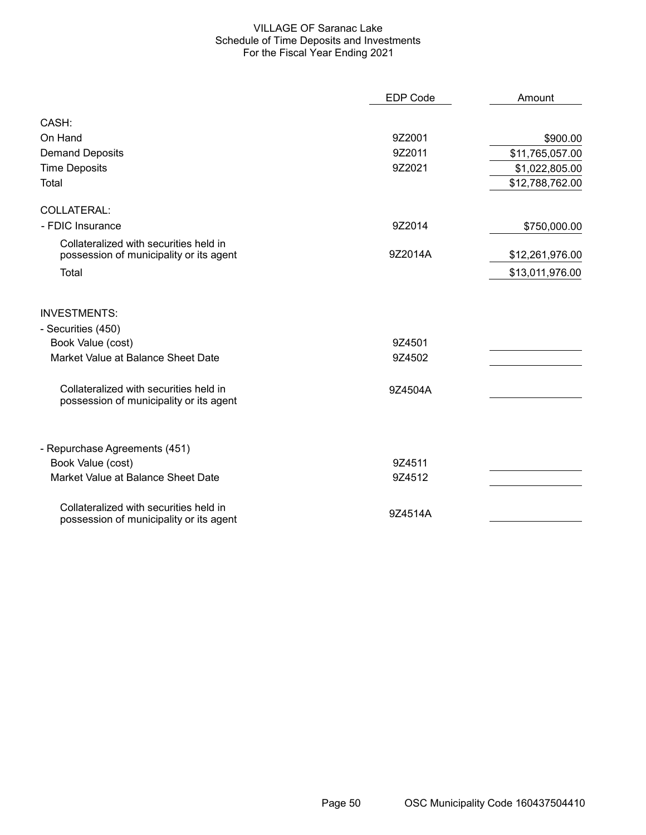#### VILLAGE OF Saranac Lake Schedule of Time Deposits and Investments For the Fiscal Year Ending 2021

|                                                                                   | <b>EDP Code</b> | Amount          |
|-----------------------------------------------------------------------------------|-----------------|-----------------|
| CASH:                                                                             |                 |                 |
| On Hand                                                                           | 9Z2001          | \$900.00        |
| <b>Demand Deposits</b>                                                            | 9Z2011          | \$11,765,057.00 |
| <b>Time Deposits</b>                                                              | 9Z2021          | \$1,022,805.00  |
| Total                                                                             |                 | \$12,788,762.00 |
| COLLATERAL:                                                                       |                 |                 |
| - FDIC Insurance                                                                  | 9Z2014          | \$750,000.00    |
| Collateralized with securities held in<br>possession of municipality or its agent | 9Z2014A         | \$12,261,976.00 |
| Total                                                                             |                 | \$13,011,976.00 |
| <b>INVESTMENTS:</b>                                                               |                 |                 |
| - Securities (450)                                                                |                 |                 |
| Book Value (cost)                                                                 | 9Z4501          |                 |
| Market Value at Balance Sheet Date                                                | 9Z4502          |                 |
| Collateralized with securities held in<br>possession of municipality or its agent | 9Z4504A         |                 |
| - Repurchase Agreements (451)                                                     |                 |                 |
| Book Value (cost)                                                                 | 9Z4511          |                 |
| Market Value at Balance Sheet Date                                                | 9Z4512          |                 |
| Collateralized with securities held in<br>possession of municipality or its agent | 9Z4514A         |                 |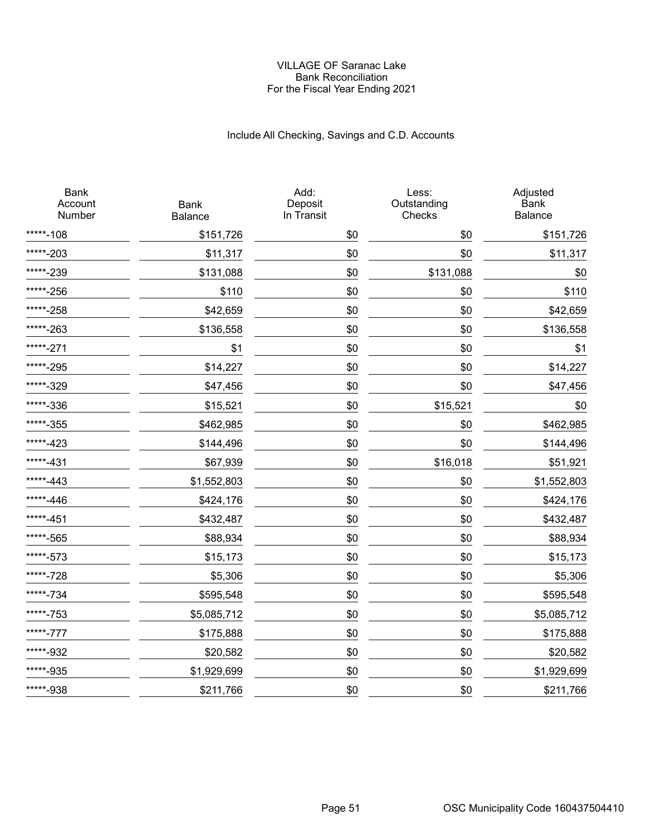#### VILLAGE OF Saranac Lake Bank Reconciliation For the Fiscal Year Ending 2021

# Include All Checking, Savings and C.D. Accounts

| <b>Bank</b><br>Account<br>Number | <b>Bank</b><br>Balance | Add:<br>Deposit<br>In Transit | Less:<br>Outstanding<br>Checks | Adjusted<br><b>Bank</b><br>Balance |
|----------------------------------|------------------------|-------------------------------|--------------------------------|------------------------------------|
| *****-108                        | \$151,726              | \$0                           | \$0                            | \$151,726                          |
| *****-203                        | \$11,317               | \$0                           | \$0                            | \$11,317                           |
| *****-239                        | \$131,088              | \$0                           | \$131,088                      | \$0                                |
| *****-256                        | \$110                  | \$0                           | \$0                            | \$110                              |
| *****-258                        | \$42,659               | \$0                           | \$0                            | \$42,659                           |
| *****-263                        | \$136,558              | \$0                           | \$0                            | \$136,558                          |
| *****-271                        | \$1                    | \$0                           | \$0                            | \$1                                |
| *****-295                        | \$14,227               | \$0                           | \$0                            | \$14,227                           |
| *****-329                        | \$47,456               | \$0                           | \$0                            | \$47,456                           |
| *****-336                        | \$15,521               | \$0                           | \$15,521                       | \$0                                |
| *****-355                        | \$462,985              | \$0                           | \$0                            | \$462,985                          |
| *****-423                        | \$144,496              | \$0                           | \$0                            | \$144,496                          |
| *****-431                        | \$67,939               | \$0                           | \$16,018                       | \$51,921                           |
| *****-443                        | \$1,552,803            | \$0                           | \$0                            | \$1,552,803                        |
| *****-446                        | \$424,176              | \$0                           | \$0                            | \$424,176                          |
| *****-451                        | \$432,487              | \$0                           | \$0                            | \$432,487                          |
| *****-565                        | \$88,934               | \$0                           | \$0                            | \$88,934                           |
| *****-573                        | \$15,173               | \$0                           | \$0                            | \$15,173                           |
| *****-728                        | \$5,306                | \$0                           | \$0                            | \$5,306                            |
| *****-734                        | \$595,548              | \$0                           | \$0                            | \$595,548                          |
| *****-753                        | \$5,085,712            | \$0                           | \$0                            | \$5,085,712                        |
| *****-777                        | \$175,888              | \$0                           | \$0                            | \$175,888                          |
| *****-932                        | \$20,582               | \$0                           | \$0                            | \$20,582                           |
| *****-935                        | \$1,929,699            | \$0                           | \$0                            | \$1,929,699                        |
| *****-938                        | \$211,766              | \$0                           | \$0                            | \$211,766                          |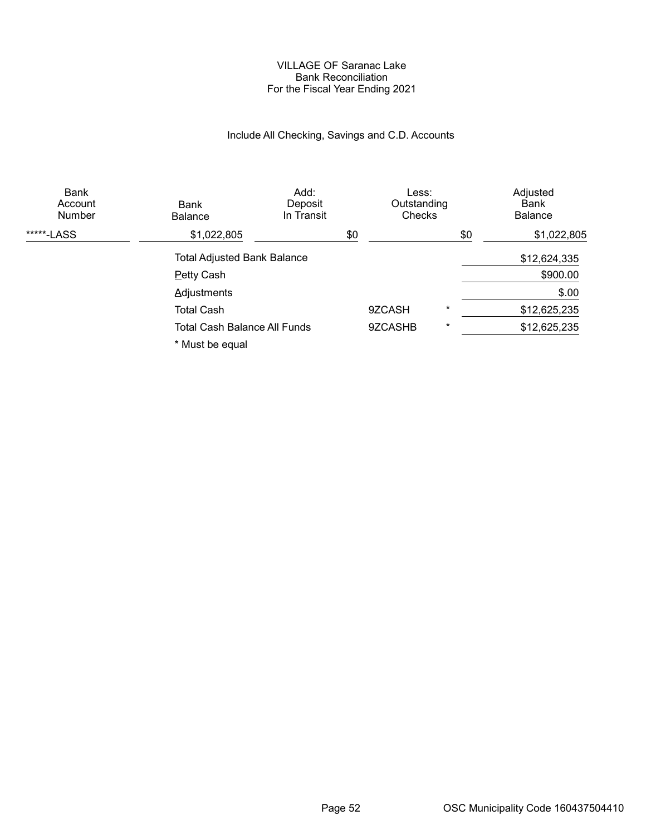#### VILLAGE OF Saranac Lake Bank Reconciliation For the Fiscal Year Ending 2021

# Include All Checking, Savings and C.D. Accounts

| Bank<br>Account<br><b>Number</b> | Bank<br><b>Balance</b>              | Add:<br>Deposit<br>In Transit |     | Less:<br>Outstanding<br>Checks |          |     | Adjusted<br>Bank<br><b>Balance</b> |
|----------------------------------|-------------------------------------|-------------------------------|-----|--------------------------------|----------|-----|------------------------------------|
| *****-LASS                       | \$1,022,805                         |                               | \$0 |                                |          | \$0 | \$1,022,805                        |
|                                  | <b>Total Adjusted Bank Balance</b>  |                               |     |                                |          |     | \$12,624,335                       |
|                                  | <b>Petty Cash</b>                   |                               |     |                                |          |     | \$900.00                           |
|                                  | <b>Adjustments</b>                  |                               |     |                                |          |     | \$.00                              |
|                                  | <b>Total Cash</b>                   |                               |     | 9ZCASH                         | $^\star$ |     | \$12,625,235                       |
|                                  | <b>Total Cash Balance All Funds</b> |                               |     | 9ZCASHB                        | $^\star$ |     | \$12,625,235                       |
|                                  | * Must be equal                     |                               |     |                                |          |     |                                    |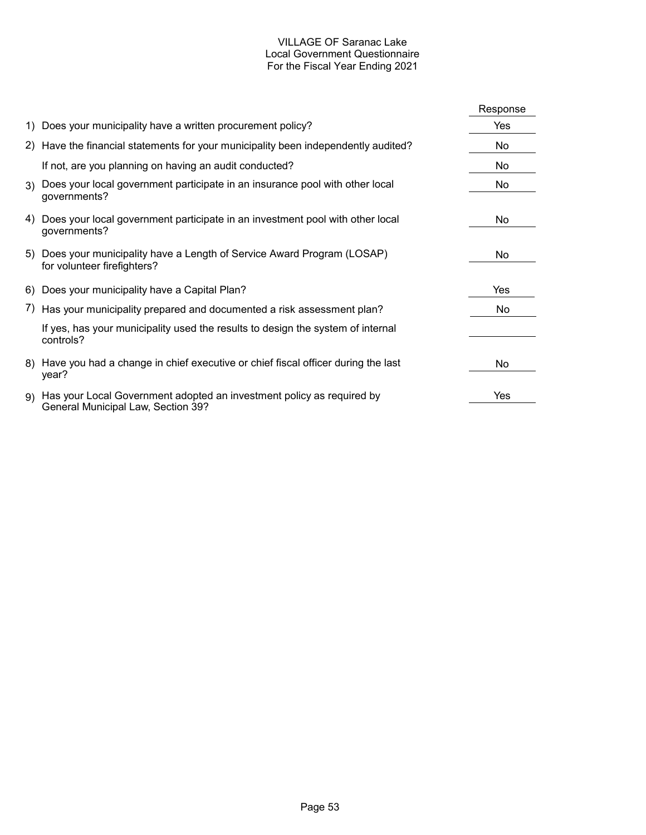# VILLAGE OF Saranac Lake Local Government Questionnaire For the Fiscal Year Ending 2021

|                                                                                                                | Response |
|----------------------------------------------------------------------------------------------------------------|----------|
| 1) Does your municipality have a written procurement policy?                                                   | Yes      |
| 2) Have the financial statements for your municipality been independently audited?                             | No       |
| If not, are you planning on having an audit conducted?                                                         | No       |
| 3) Does your local government participate in an insurance pool with other local<br>governments?                | No       |
| 4) Does your local government participate in an investment pool with other local<br>governments?               | No.      |
| 5) Does your municipality have a Length of Service Award Program (LOSAP)<br>for volunteer firefighters?        | No.      |
| 6) Does your municipality have a Capital Plan?                                                                 | Yes      |
| 7) Has your municipality prepared and documented a risk assessment plan?                                       | No.      |
| If yes, has your municipality used the results to design the system of internal<br>controls?                   |          |
| 8) Have you had a change in chief executive or chief fiscal officer during the last<br>year?                   | No       |
| 9) Has your Local Government adopted an investment policy as required by<br>General Municipal Law, Section 39? | Yes      |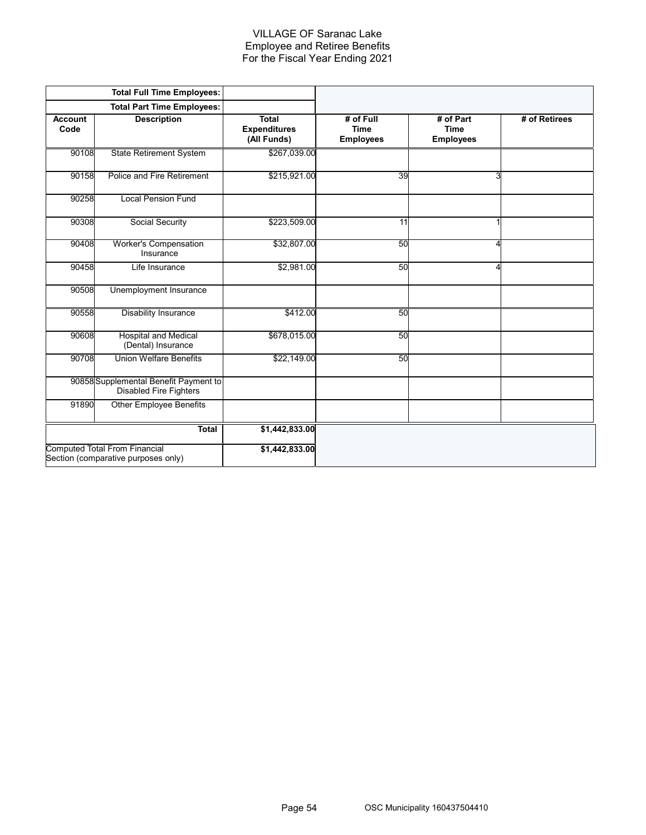#### VILLAGE OF Saranac Lake Employee and Retiree Benefits For the Fiscal Year Ending 2021

|                        | <b>Total Full Time Employees:</b>                                           |                                                    |                                              |                                              |               |
|------------------------|-----------------------------------------------------------------------------|----------------------------------------------------|----------------------------------------------|----------------------------------------------|---------------|
|                        | <b>Total Part Time Employees:</b>                                           |                                                    |                                              |                                              |               |
| <b>Account</b><br>Code | <b>Description</b>                                                          | <b>Total</b><br><b>Expenditures</b><br>(All Funds) | # of Full<br><b>Time</b><br><b>Employees</b> | # of Part<br><b>Time</b><br><b>Employees</b> | # of Retirees |
| 90108                  | <b>State Retirement System</b>                                              | \$267,039.00                                       |                                              |                                              |               |
| 90158                  | Police and Fire Retirement                                                  | \$215,921.00                                       | 39                                           | 3                                            |               |
| 90258                  | <b>Local Pension Fund</b>                                                   |                                                    |                                              |                                              |               |
| 90308                  | Social Security                                                             | \$223,509.00                                       | 11                                           |                                              |               |
| 90408                  | <b>Worker's Compensation</b><br>Insurance                                   | \$32,807.00                                        | 50                                           | 4                                            |               |
| 90458                  | Life Insurance                                                              | \$2,981.00                                         | 50                                           | 4                                            |               |
| 90508                  | Unemployment Insurance                                                      |                                                    |                                              |                                              |               |
| 90558                  | <b>Disability Insurance</b>                                                 | \$412.00                                           | 50                                           |                                              |               |
| 90608                  | <b>Hospital and Medical</b><br>(Dental) Insurance                           | \$678,015.00                                       | 50                                           |                                              |               |
| 90708                  | <b>Union Welfare Benefits</b>                                               | \$22,149.00                                        | 50                                           |                                              |               |
|                        | 90858 Supplemental Benefit Payment to<br><b>Disabled Fire Fighters</b>      |                                                    |                                              |                                              |               |
| 91890                  | <b>Other Employee Benefits</b>                                              |                                                    |                                              |                                              |               |
|                        | Total                                                                       | \$1,442,833.00                                     |                                              |                                              |               |
|                        | <b>Computed Total From Financial</b><br>Section (comparative purposes only) | \$1,442,833.00                                     |                                              |                                              |               |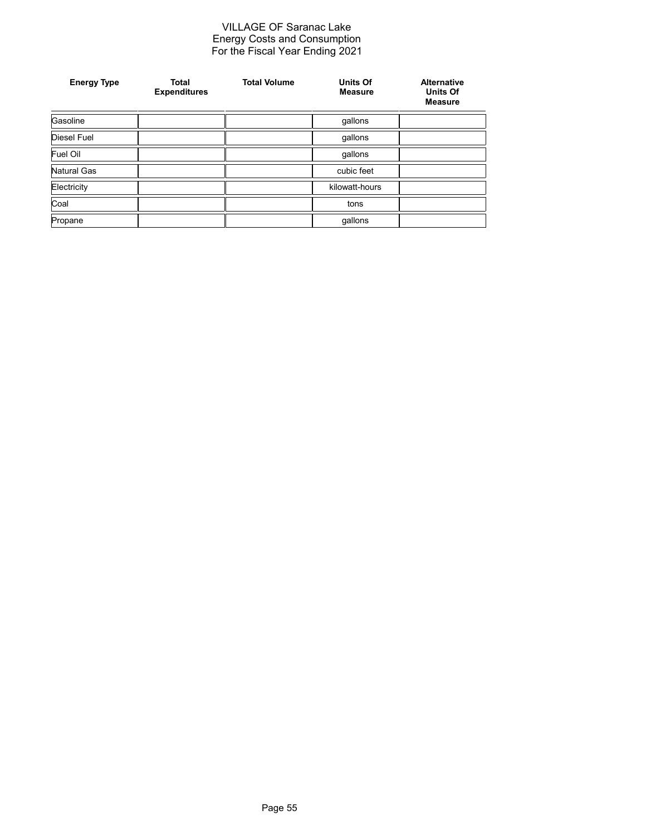#### VILLAGE OF Saranac Lake Energy Costs and Consumption For the Fiscal Year Ending 2021

| <b>Energy Type</b> | <b>Total</b><br><b>Expenditures</b> | <b>Total Volume</b> | <b>Units Of</b><br><b>Measure</b> | <b>Alternative</b><br><b>Units Of</b><br><b>Measure</b> |
|--------------------|-------------------------------------|---------------------|-----------------------------------|---------------------------------------------------------|
| Gasoline           |                                     |                     | gallons                           |                                                         |
| <b>Diesel Fuel</b> |                                     |                     | gallons                           |                                                         |
| Fuel Oil           |                                     |                     | gallons                           |                                                         |
| Natural Gas        |                                     |                     | cubic feet                        |                                                         |
| Electricity        |                                     |                     | kilowatt-hours                    |                                                         |
| Coal               |                                     |                     | tons                              |                                                         |
| Propane            |                                     |                     | gallons                           |                                                         |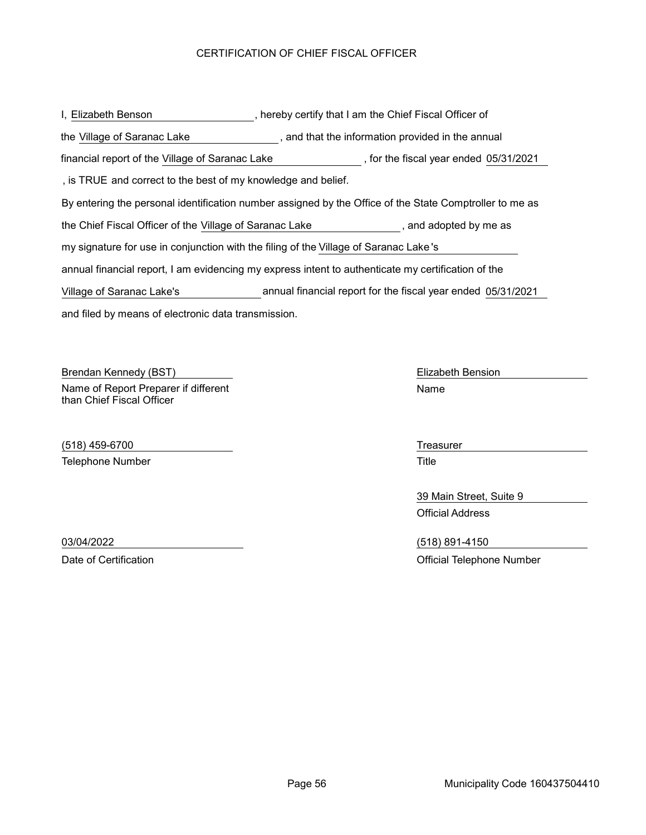# CERTIFICATION OF CHIEF FISCAL OFFICER

| I, Elizabeth Benson                                                                                     | , hereby certify that I am the Chief Fiscal Officer of       |  |  |  |
|---------------------------------------------------------------------------------------------------------|--------------------------------------------------------------|--|--|--|
| the Village of Saranac Lake                                                                             | , and that the information provided in the annual            |  |  |  |
| financial report of the Village of Saranac Lake                                                         | , for the fiscal year ended 05/31/2021                       |  |  |  |
| , is TRUE and correct to the best of my knowledge and belief.                                           |                                                              |  |  |  |
| By entering the personal identification number assigned by the Office of the State Comptroller to me as |                                                              |  |  |  |
| the Chief Fiscal Officer of the Village of Saranac Lake<br>, and adopted by me as                       |                                                              |  |  |  |
| my signature for use in conjunction with the filing of the Village of Saranac Lake's                    |                                                              |  |  |  |
| annual financial report, I am evidencing my express intent to authenticate my certification of the      |                                                              |  |  |  |
| Village of Saranac Lake's                                                                               | annual financial report for the fiscal year ended 05/31/2021 |  |  |  |
| and filed by means of electronic data transmission.                                                     |                                                              |  |  |  |

Brendan Kennedy (BST) **Elizabeth Bension** Elizabeth Bension Name of Report Preparer if different than Chief Fiscal Officer

(518) 459-6700 Treasurer Telephone Number Title

Name

39 Main Street, Suite 9 Official Address

03/04/2022 (518) 891-4150 Date of Certification **Date of Certification Official Telephone Number**